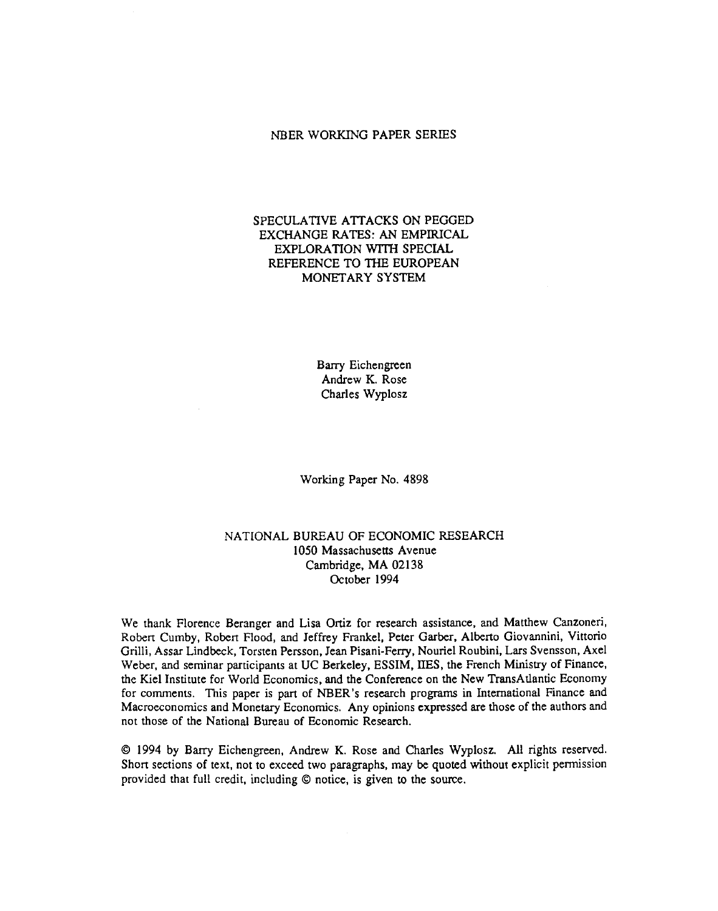#### NBER WORKING PAPER SERIES

## SPECULATIVE ATTACKS ON PEGGED EXCHANGE RATES: AN EMPIRICAL EXPLORATION WiTH SPECIAL REFERENCE TO THE EUROPEAN MONETARY SYSTEM

Barry Eichengreen Andrew K. Rose Charles Wyplosz

Working Paper No. 4898

## NATIONAL BUREAU OF ECONOMIC RESEARCH 1050 Massachusetts Avenue Cambridge, MA 02138 October 1994

We thank Florence Beranger and Lisa Ortiz for research assistance, and Matthew Canzoneri, Robert Cumby, Robert Flood, and Jeffrey Frankel, Peter Garber, Alberto Giovannini, Vittorio Grilli, Assar Lindbeck, Torsten Persson, Jean Pisani-Ferry, Nouriel Roubini, Lars Svensson, Axel Weber, and seminar participants at UC Berkeley, ESSIM, 11ES, the French Ministry of Finance, the Kiel Institute for World Economics, and the Conference on the New TransAtlantic Economy for comments. This paper is part of NBER's research programs in International Finance and Macroeconomics and Monetary Economics. Any opinions expressed are those of the authors and not those of the National Bureau of Economic Research.

© 1994 by Barry Eichengreen, Andrew K. Rose and Charles Wyplosz. All rights reserved. Short sections of text, not to exceed two paragraphs, may be quoted without explicit permission provided that full credit, including © notice, is given to the source.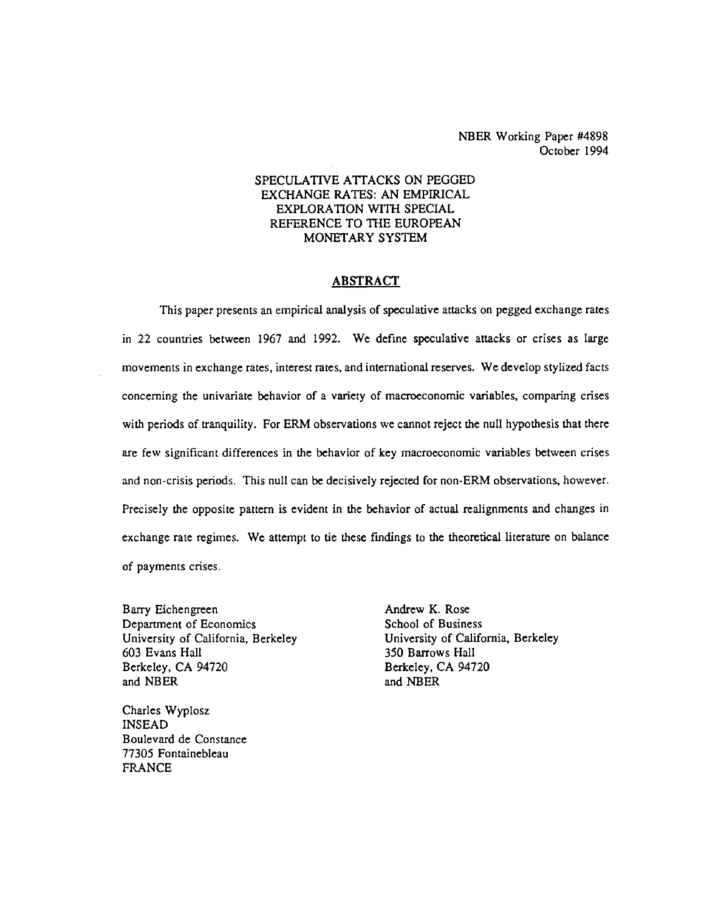NBER Working Paper #4898 October 1994

## SPECULATIVE ATTACKS ON PEGGED EXCHANGE RATES: AN EMPIRICAL EXPLORATION WITH SPECIAL REFERENCE TO THE EUROPEAN MONETARY SYSTEM

#### ABSTRACT

This paper presents an empirical analysis of speculative attacks on pegged exchange rates in 22 countries between 1967 and 1992. We define speculative attacks or crises as large movements in exchange rates, interest rates, and international reserves. We develop stylized facts concerning the univariate behavior of a variety of macroeconomic variables, comparing crises with periods of tranquility. For ERM observations we cannot reject the null hypothesis that there are few significant differences in the behavior of key macroeconomic variables between crises and non-crisis periods. This null can be decisively rejected for non-ERM observations, however. Precisely the opposite pattern is evident in the behavior of actual realignments and changes in exchange rate regimes. We attempt to tie these findings to the theoretical literature on balance of payments crises.

Barry Eichengreen **Andrew K. Rose**<br>
Department of Economics **Andrew K. Rose**<br>
School of Business Department of Economics University of California, Berkeley **University of California**, Berkeley 603 Evans Hall 350 Barrows Hall Berkeley, CA 94720 Berkeley, CA 94720 and NBER and NBER

Charles Wyplosz INSEAD Boulevard de Constance 77305 Fontainebleau FRANCE

350 Barrows Hall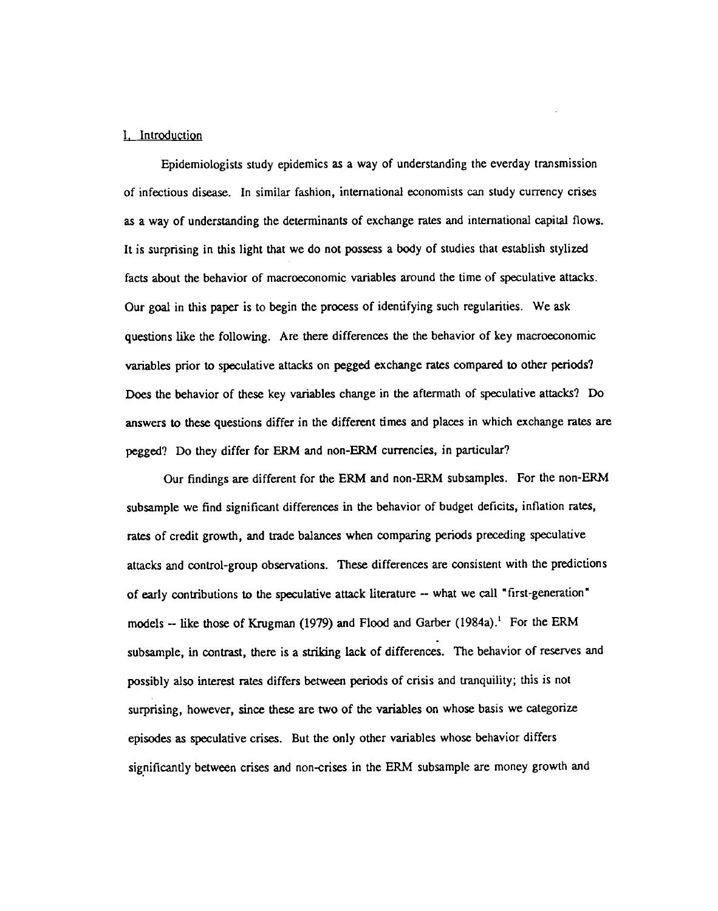#### I, Introduction

Epidemiologists study epidemics as a way of understanding the everday transmission of infectious disease. In similar fashion, international economists can study currency crises as a way of understanding the determinants of exchange rates and international capital flows. It is surprising in this light that we do not possess a body of studies that establish stylized facts about the behavior of macroeconomic variables around the time of speculative attacks. Our goal in this paper is to begin the process of identifying such regularities. We ask questions like the following. Are there differences the the behavior of key macroeconomic variables prior to speculative attacks on pegged exchange rates compared to other periods? Does the behavior of these key variables change in the aftermath of speculative attacks? Do answers to these questions differ in the different times and places in which exchange rates are pegged? Do they differ for ERM and non-ERM currencies, in particular?

Our findings are different for the ERM and non-ERM subsamples. For the non-ERM subsample we find significant differences in the behavior of budget deficits, inflation rates, rates of credit growth, and trade balances when comparing periods preceding speculative attacks and control-group observations. These differences are consistent with the predictions of early contributions to the speculative attack literature -- what we call "first-generation" models -- like those of Krugman (1979) and Flood and Garber (1984a).<sup>1</sup> For the ERM subsample, in contrast, there is a striking lack of differences. The behavior of reserves and possibly also interest rates differs between periods of crisis and tranquility; this is not surprising, however, since these are two of the variables on whose basis we categorize episodes as speculative crises. But the only other variables whose behavior differs significantly between crises and non-crises in the ERM subsample are money growth and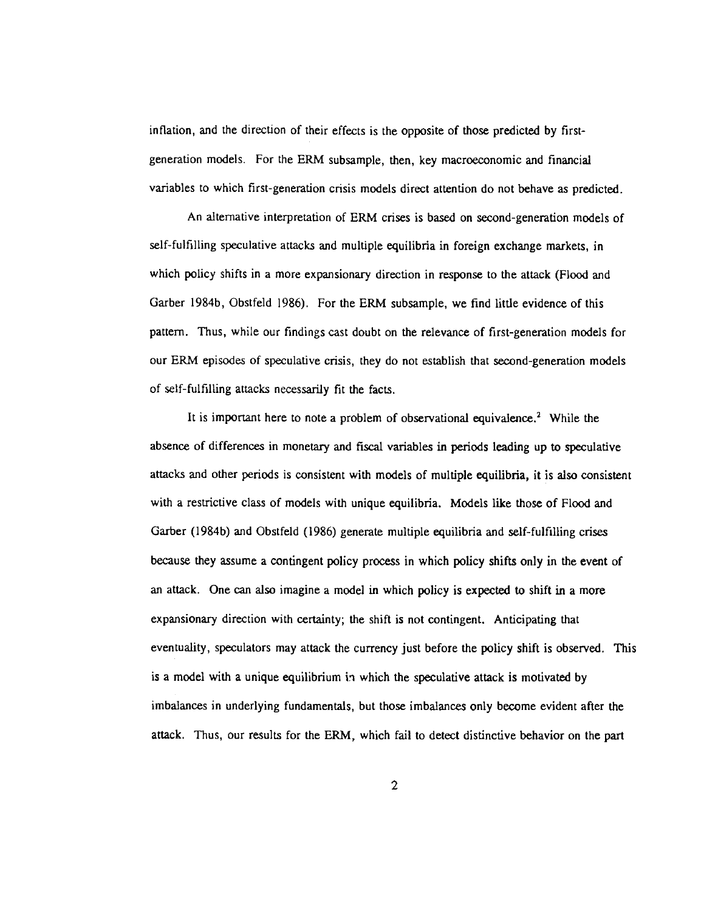inflation, and the direction of their effects is the opposite of those predicted by firstgeneration models. For the ERM subsample, then, key macroeconomic and financial variables to which first-generation crisis models direct attention do not behave as predicted.

An alternative interpretation of ERM crises is based on second-generation models of self-fulfilling speculative attacks and multiple equilibria in foreign exchange markets, in which policy shifts in a more expansionary direction in response to the attack (Flood and Garber 1984b, Obstfeld 1986). For the ERM subsample, we find little evidence of this pattern. Thus, while our findings cast doubt on the relevance of first-generation models for our ERM episodes of speculative crisis, they do not establish that second-generation models of self-fulfilling attacks necessarily fit the facts.

It is important here to note a problem of observational equivalence.<sup>2</sup> While the absence of differences in monetary and fiscal variables in periods leading up to speculative attacks and other periods is consistent with models of multiple equilibria, it is also consistent with a restrictive class of models with unique equilibria. Models like those of Flood and Garber (1984b) and Obstfeld (1986) generate multiple equilibria and self-fulfilling crises because they assume a contingent policy process in which policy shifts only in the event of an attack. One can also imagine a model in which policy is expected to shift in a more expansionary direction with certainty; the shift is not contingent. Anticipating that eventuality, speculators may attack the currency just before the policy shift is observed. This is a model with a unique equilibrium in which the speculative attack is motivated by imbalances in underlying fundamentals, but those imbalances only become evident after the attack. Thus, our results for the ERM, which fall to detect distinctive behavior on the part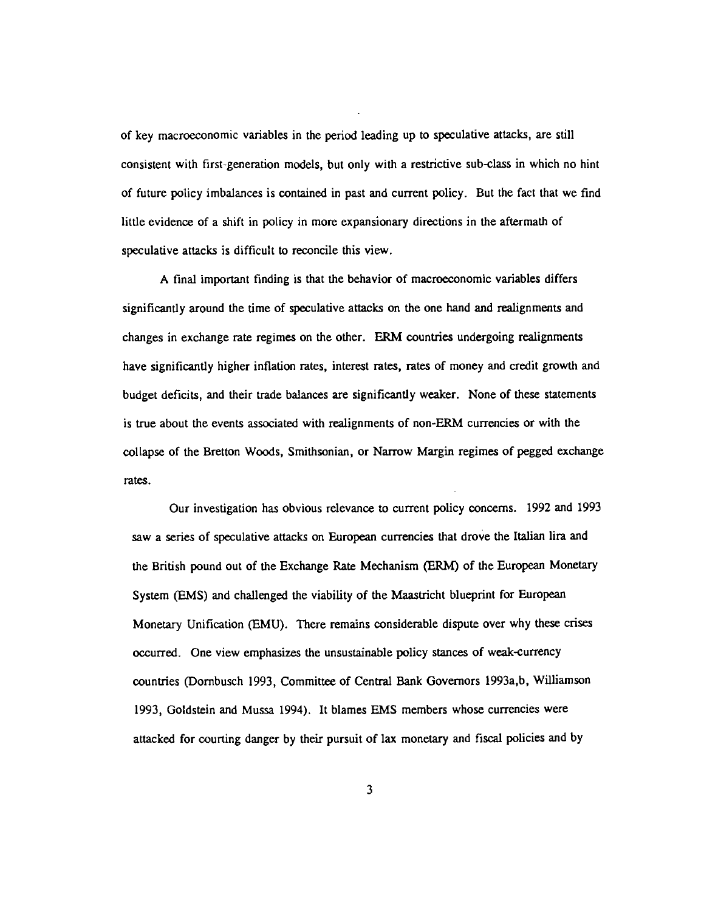of key macroeconomic variables in the period leading up to speculative attacks, are still consistent with first-generation models, but only with a restrictive sub-class in which no hint of future policy imbalances is contained in past and current policy. But the fact that we find little evidence of a shift in policy in more expansionary directions in the aftermath of speculative attacks is difficult to reconcile this view.

A final important finding is that the behavior of macroeconomic variables differs significantly around the time of speculative attacks on the one hand and realignments and changes in exchange rate regimes on the other. ERM countries undergoing realignments have significantly higher inflation rates, interest rates, rates of money and credit growth and budget deficits, and their trade balances are significantly weaker. None of these statements is true about the events associated with realignments of non-ERM currencies or with the collapse of the Bretton Woods, Smithsonian, or Narrow Margin regimes of pegged exchange rates.

Our investigation has obvious relevance to current policy concerns. 1992 and 1993 saw a series of speculative attacks on European currencies that drove the Italian lira and the British pound out of the Exchange Rate Mechanism (ERM) of the European Monetary System (EMS) and challenged the viability of the Maastricht blueprint for European Monetary Unification (EMU). There remains considerable dispute over why these crises occurred. One view emphasizes the unsustainable policy stances of weak-currency countries (Dombusch 1993, Committee of Central Bank Governors 1993a,b, Williamson 1993, Goldstein and Mussa 1994). It blames EMS members whose currencies were attacked for courting danger by their pursuit of lax monetary and fiscal policies and by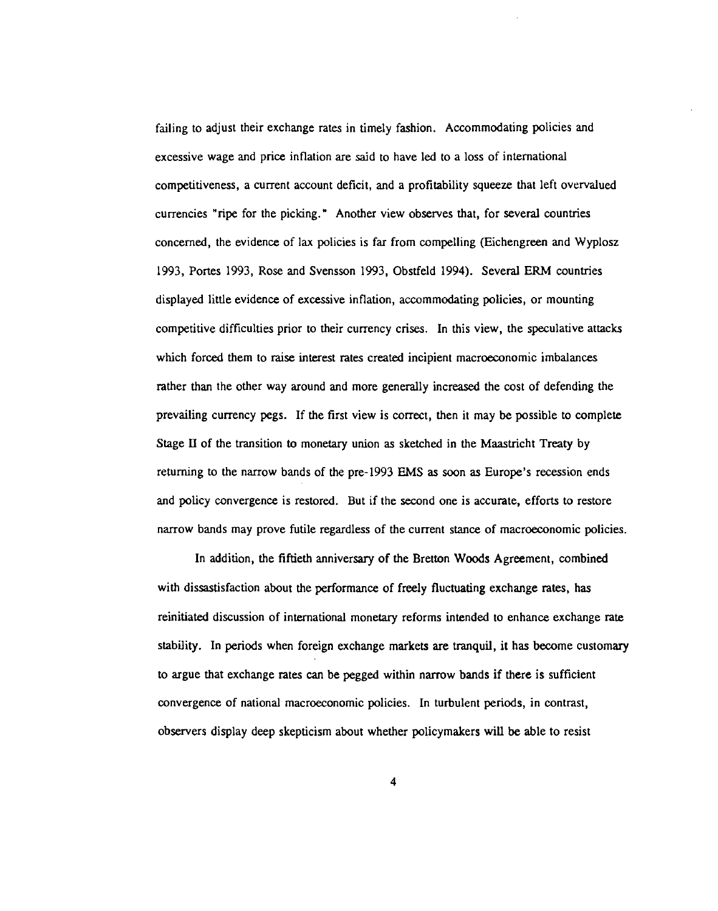failing to adjust their exchange rates in timely fashion. Accommodating policies and excessive wage and price inflation are said to have led to a loss of international competitiveness, a current account deficit, and a profitability squeeze that left overvalued currencies "ripe for the picking." Another view observes that, for several countries concerned, the evidence of lax policies is far from compelling (Eichengreen and Wyplosz 1993, Portes 1993, Rose and Svensson 1993, Obstfeld 1994). Several ERM countries displayed little evidence of excessive inflation, accommodating policies, or mounting competitive difficulties prior to their currency crises. In this view, the speculative attacks which forced them to raise interest rates created incipient macroeconomic imbalances rather than the other way around and more generally increased the cost of defending the prevailing currency pegs. If the first view is correct, then it may be possible to complete Stage II of the transition to monetary union as sketched in the Maastricht Treaty by returning to the narrow bands of the pre-1993 EMS as soon as Europe's recession ends and policy convergence is restored. But if the second one is accurate, efforts to restore narrow bands may prove futile regardless of the current stance of macroeconomic policies.

In addition, the fiftieth anniversary of the Bretton Woods Agreement, combined with dissastisfaction about the performance of freely fluctuating exchange rates, has reinitiated discussion of international monetary reforms intended to enhance exchange rate stability. In periods when foreign exchange markets are tranquil, it has become customary to argue that exchange rates can be pegged within narrow bands if there is sufficient convergence of national macroeconomic policies. In turbulent periods, in contrast, observers display deep skepticism about whether policymakers will be able to resist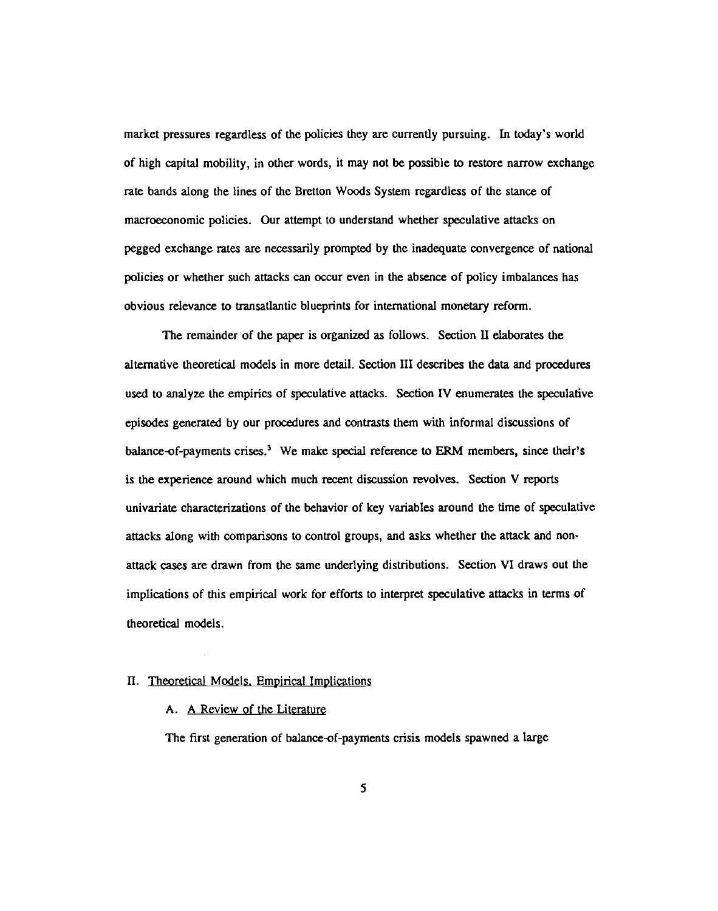market pressures regardless of the policies they are currently pursuing. In today's world of high capital mobility, in other words, it may not be possible to restore narrow exchange rate bands along the lines of the Bretton Woods System regardless of the stance of macroeconomic policies. Our attempt to understand whether speculative attacks on pegged exchange rates are necessarily prompted by the inadequate convergence of national policies or whether such attacks can occur even in the absence of policy imbalances has obvious relevance to transatlantic blueprints for international monetary reform.

The remainder of the paper is organized as follows. Section II elaborates the alternative theoretical models in more detail. Section III describes the data and procedures used to analyze the empirics of speculative attacks. Section IV enumerates the speculative episodes generated by our procedures and contrasts them with informal discussions of balance-of-payments crises.<sup>3</sup> We make special reference to ERM members, since their's is the experience around which much recent discussion revolves. Section V reports univariate characterizations of the behavior of key variables around the time of speculative attacks along with comparisons to control groups, and asks whether the attack and nonattack cases are drawn from the same underlying distributions. Section VI draws out the implications of this empirical work for efforts to interpret speculative attacks in terms of theoretical models.

## 11. Theoretical Models. Empirical Implications

## A. A Review of the Literature

The first generation of balance-of-payments crisis models spawned a large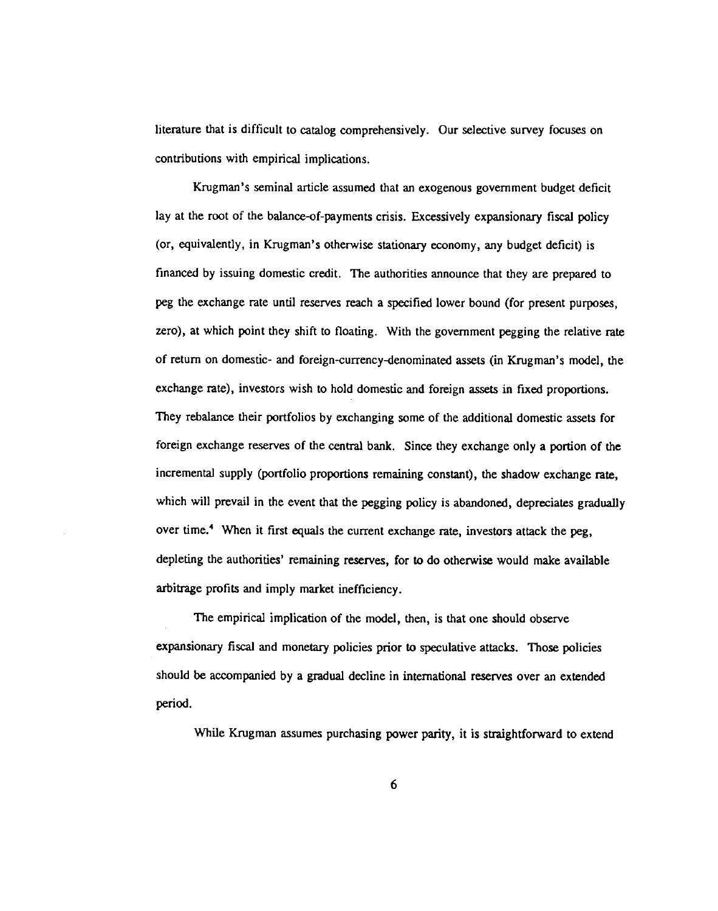literature that is difficult to catalog comprehensively. Our selective survey focuses on contributions with empirical implications.

Krugman's seminal article assumed that an exogenous government budget deficit lay at the root of the balance-of-payments crisis. Excessively expansionary fiscal policy (or, equivalently, in Krugman's otherwise stationary economy, any budget deficit) is financed by issuing domestic credit. The authorities announce that they are prepared to peg the exchange rate until reserves reach a specified lower bound (for present purposes, zero), at which point they shift to floating. With the government pegging the relative rate of return on domestic- and foreign-currency-denominated assets (in Krugman's model, the exchange rate), investors wish to hold domestic and foreign assets in fixed proportions. They rebalance their portfolios by exchanging some of the additional domestic assets for foreign exchange reserves of the central bank. Since they exchange only a portion of the incremental supply (portfolio proportions remaining constant), the shadow exchange rate, which will prevail in the event that the pegging policy is abandoned, depreciates gradually over time.<sup>4</sup> When it first equals the current exchange rate, investors attack the peg, depleting the authorities' remaining reserves, for to do otherwise would make available arbitrage profits and imply market inefficiency.

The empirical implication of the model, then, is that one should observe expansionary fiscal and monetary policies prior to speculative attacks. Those policies should be accompanied by a gradual decline in international reserves over an extended period.

While Krugman assumes purchasing power parity, it is straightforward to extend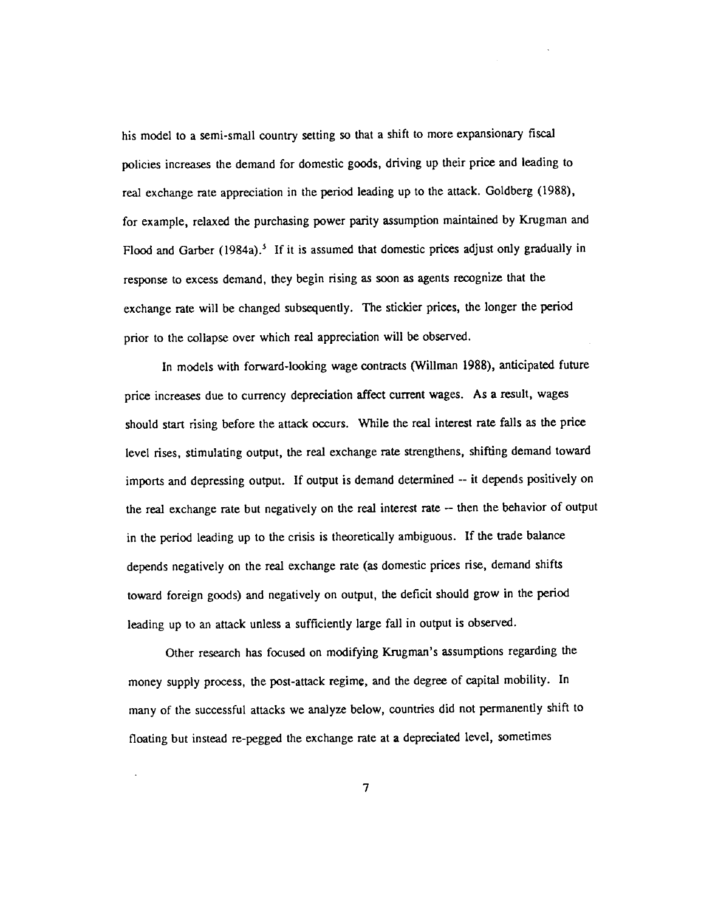his model to a semi-small country setting so that a shift to more expansionary fiscal policies increases the demand for domestic goods, driving up their price and leading to real exchange rate appreciation in the period leading up to the attack. Goldberg (1988), for example, relaxed the purchasing power parity assumption maintained by Krugman and Flood and Garber (1984a).<sup>5</sup> If it is assumed that domestic prices adjust only gradually in response to excess demand, they begin rising as soon as agents recognize that the exchange rate will be changed subsequently. The stickier prices, the longer the period prior to the collapse over which real appreciation will be observed.

In models with forward-looking wage contracts (Willman 1988), anticipated future price increases due to currency depreciation affect current wages. As a result, wages should start rising before the attack occurs. While the real interest rate falls as the price level rises, stimulating output, the real exchange rate strengthens, shifting demand toward imports and depressing output. If output is demand determined -- it depends positively on the real exchange rate but negatively on the real interest rate -- then the behavior of output in the period leading up to the crisis is theoretically ambiguous. If the trade balance depends negatively on the real exchange rate (as domestic prices rise, demand shifts toward foreign goods) and negatively on output, the deficit should grow in the period leading up to an attack unless a sufficiently large fall in output is observed.

Other research has focused on modifying Krugman's assumptions regarding the money supply process, the post-attack regime, and the degree of capital mobility. In many of the successful attacks we analyze below, countries did not permanently shift to floating but instead re-pegged the exchange rate at a depreciated level, sometimes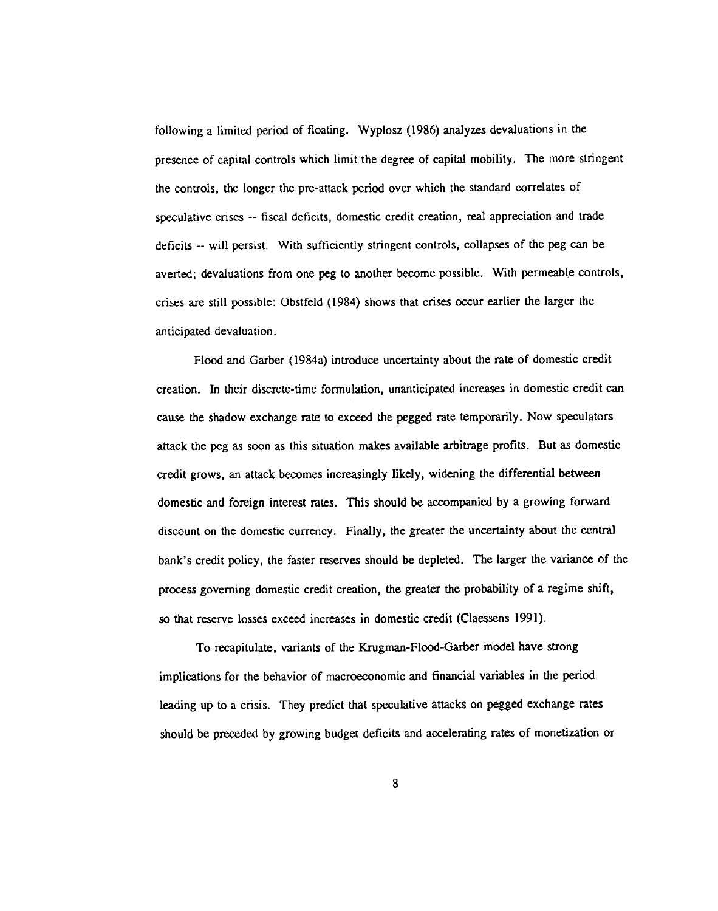following a limited period of floating. Wyplosz (1986) analyzes devaluations in the presence of capital controls which limit the degree of capital mobility. The more stringent the controls, the longer the pre-attack period over which the standard correlates of speculative crises -- fiscal deficits, domestic credit creation, real appreciation and trade deficits -- will persist. With sufficiently stringent controls, collapses of the peg can be averted; devaluations from one peg to another become possible. With permeable controls, crises are still possible: Obstfeld (1984) shows that crises occur earlier the larger the anticipated devaluation,

Flood and Garber (1984a) introduce uncertainty about the rate of domestic credit creation. In their discrete-time formulation, unanticipated increases in domestic credit can cause the shadow exchange rate to exceed the pegged rate temporarily. Now speculators attack the peg as soon as this situation makes available arbitrage profits. But as domestic credit grows, an attack becomes increasingly likely, widening the differential between domestic and foreign interest rates. This should be accompanied by a growing forward discount on the domestic currency. Finally, the greater the uncertainty about the central bank's credit policy, the faster reserves should be depleted. The larger the variance of the process governing domestic credit creation, the greater the probability of a regime shift, so that reserve losses exceed increases in domestic credit (Claessens 1991).

To recapitulate, variants of the Krugman-Flood-Garber model have strong implications for the behavior of macroeconomic and financial variables in the period leading up to a crisis. They predict that speculative attacks on pegged exchange rates should be preceded by growing budget deficits and accelerating rates of monetization or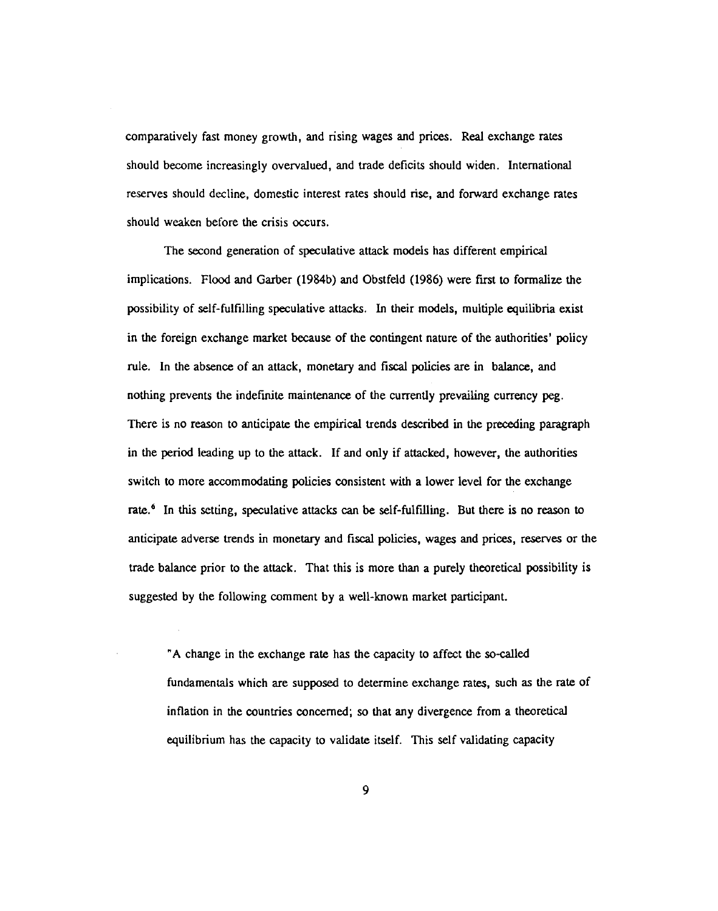comparatively fast money growth, and rising wages and prices. Real exchange rates should become increasingly overvalued, and trade deficits should widen. International reserves should decline, domestic interest rates should rise, and forward exchange rates should weaken before the crisis occurs.

The second generation of speculative attack models has different empirical implications. Flood and Garber (1984b) and Obstfeld (1986) were first to formalize the possibility of self-fulfilling speculative attacks. In their models, multiple equilibria exist in the foreign exchange market because of the contingent nature of the authorities' policy rule. In the absence of an attack, monetary and fiscal policies are in balance, and nothing prevents the indefinite maintenance of the currently prevailing currency peg. There is no reason to anticipate the empirical trends described in the preceding paragraph in the period leading up to the attack. If and only if attacked, however, the authorities switch to more accommodating policies consistent with a lower level for the exchange rate.<sup>6</sup> In this setting, speculative attacks can be self-fulfilling. But there is no reason to anticipate adverse trends in monetary and fiscal policies, wages and prices, reserves or the trade balance prior to the attack. That this is more than a purely theoretical possibility is suggested by the following comment by a well-known market participant.

"A change in the exchange rate has the capacity to affect the so-called fundamentals which are supposed to determine exchange rates, such as the rate of inflation in the countries concerned; so that any divergence from a theoretical equilibrium has the capacity to validate itself. This self validating capacity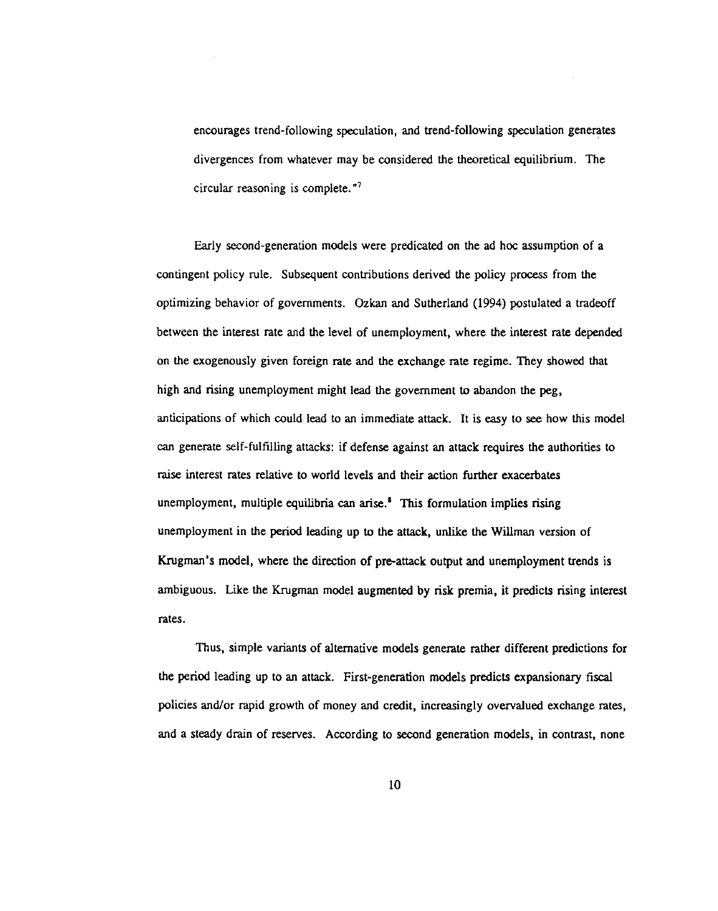encourages trend-following speculation, and trend-following speculation generates divergences from whatever may be considered the theoretical equilibrium. The circular reasoning is complete."7

Early second-generation models were predicated on the ad hoc assumption of a contingent policy rule. Subsequent contributions derived the policy process from the optimizing behavior of governments. Ozkan and Sutherland (1994) postulated a tradeoff between the interest rate and the level of unemployment, where the interest rate depended on the exogenously given foreign rate and the exchange rate regime. They showed that high and rising unemployment might lead the government to abandon the peg, anticipations of which could lead to an immediate attack. It is easy to see how this model can generate self-fulfilling attacks: if defense against an attack requires the authorities to raise interest rates relative to world levels and their action further exacerbates unemployment, multiple equilibria can arise. $<sup>3</sup>$  This formulation implies rising</sup> unemployment in the period leading up to the attack, unlike the Wiliman version of Krugman's model, where the direction of pre-attack output and unemployment trends is ambiguous. Like the Krugman model augmented by risk premia, it predicts rising interest rates.

Thus, simple variants of alternative models generate rather different predictions for the period leading up to an attack. First-generation models predicts expansionary fiscal policies and/or rapid growth of money and credit, increasingly overvalued exchange rates, and a steady drain of reserves. According to second generation models, in contrast, none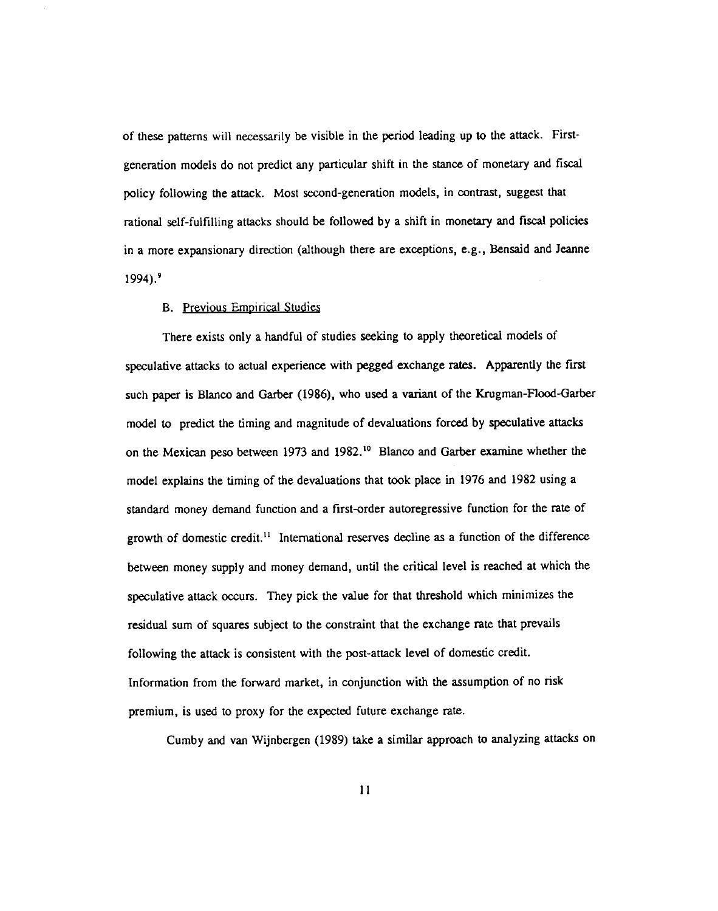of these patterns will necessarily be visible in the period leading up to the attack. Firstgeneration models do not predict any particular shift in the stance of monetary and fiscal policy following the attack. Most second-generation models, in contrast, suggest that rational self-fulfilling attacks should be followed by a shift in monetary and fiscal policies in a more expansionary direction (although there are exceptions, e.g., Bensaid and Jeanne  $1994$ ).<sup>9</sup>

#### B. Previous Empirical Studies

There exists only a handful of studies seeking to apply theoretical models of speculative attacks to actual experience with pegged exchange rates. Apparently the first such paper is Blanco and Garber (1986), who used a variant of the Krugman-Flood-Garber model to predict the timing and magnitude of devaluations forced by speculative attacks on the Mexican peso between 1973 and 1982.<sup>10</sup> Blanco and Garber examine whether the model explains the timing of the devaluations that took place in 1976 and 1982 using a standard money demand function and a first-order autoregressive function for the rate of growth of domestic credit.<sup>11</sup> International reserves decline as a function of the difference between money supply and money demand, until the critical level is reached at which the speculative attack occurs. They pick the value for that threshold which minimizes the residual sum of squares subject to the constraint that the exchange rate that prevails following the attack is consistent with the post-attack level of domestic credit. Information from the forward market, in conjunction with the assumption of no risk premium, is used to proxy for the expected future exchange rate.

Cumby and van Wijnbergen (1989) take a similar approach to analyzing attacks on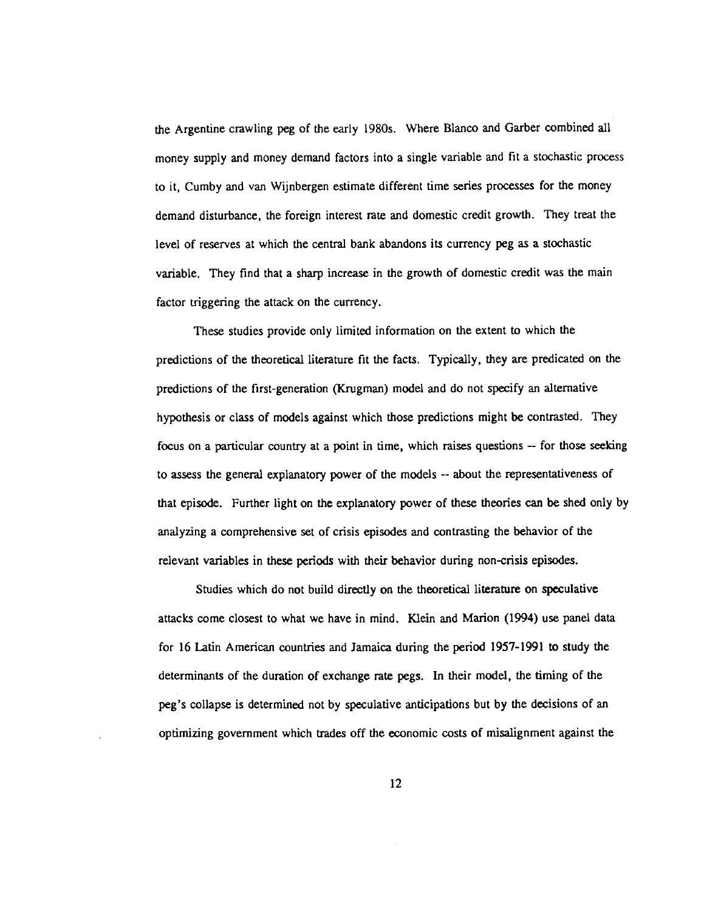the Argentine crawling peg of the early 1980s. Where Blanco and Garber combined all money supply and money demand factors into a single variable and fit a stochastic process to it, Cumby and van Wijnbergen estimate different time series processes for the money demand disturbance, the foreign interest rate and domestic credit growth. They treat the level of reserves at which the central bank abandons its currency peg as a stochastic variable. They find that a sharp increase in the growth of domestic credit was the main factor triggering the attack on the currency.

These studies provide only limited information on the extent to which the predictions of the theoretical literature fit the facts. Typically, they are predicated on the predictions of the first-generation (Krugman) model and do not specify an alternative hypothesis or class of models against which those predictions might be contrasted. They focus on a particular country at a point in time, which raises questions — for those seeking to assess the general explanatory power of the models --about the representativeness of that episode. Further light on the explanatory power of these theories can be shed only by analyzing a comprehensive set of crisis episodes and contrasting the behavior of the relevant variables in these periods with their behavior during non-crisis episodes.

Studies which do not build directly on the theoretical literature on speculative attacks come closest to what we have in mind. Klein and Marion (1994) use panel data for 16 Latin American countries and Jamaica during the period 1957-1991 to study the determinants of the duration of exchange rate pegs. In their model, the timing of the peg's collapse is determined not by speculative anticipations but by the decisions of an optimizing government which trades off the economic costs of misalignment against the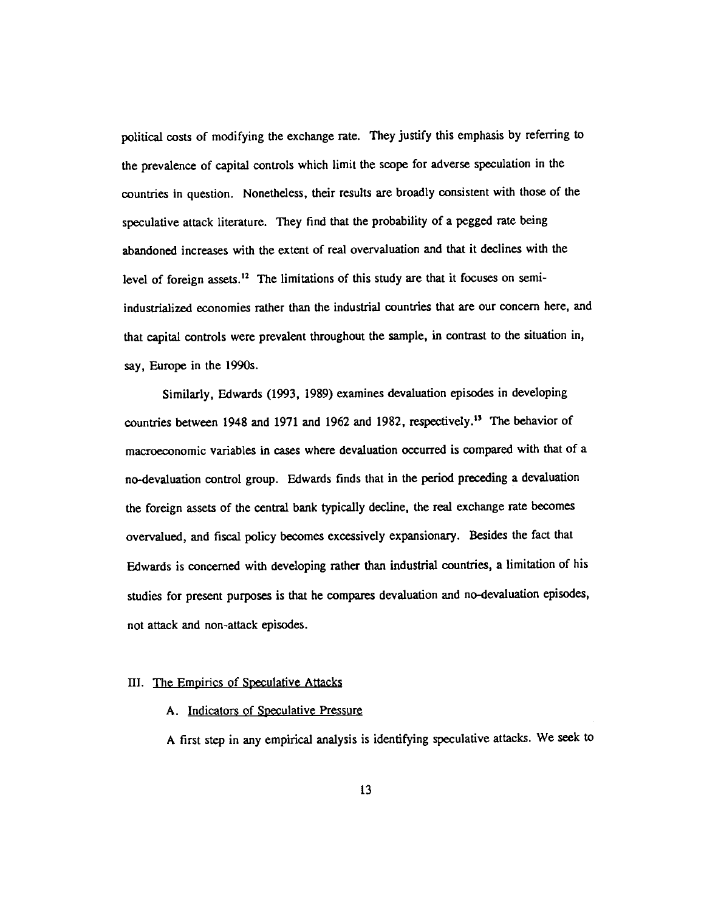political costs of modifying the exchange rate. They justify this emphasis by referring to the prevalence of capital controls which limit the scope for adverse speculation in the countries in question. Nonetheless, their results are broadly consistent with those of the speculative attack literature. They find that the probability of a pegged rate being abandoned increases with the extent of real overvaluation and that it declines with the level of foreign assets.<sup>12</sup> The limitations of this study are that it focuses on semiindustrialized economies rather than the industrial countries that are our concern here, and that capital controls were prevalent throughout the sample, in contrast to the situation in, say, Europe in the 1990s.

Similarly, Edwards (1993, 1989) examines devaluation episodes in developing countries between 1948 and 1971 and 1962 and 1982, respectively.13 The behavior of macroeconomic variables in cases where devaluation occurred is compared with that of a no-devaluation control group. Edwards finds that in the period preceding a devaluation the foreign assets of the central bank typically decline, the real exchange rate becomes overvalued, and fiscal policy becomes excessively expansionary. Besides the fact that Edwards is concerned with developing rather than industrial countries, a limitation of his studies for present purposes is that he compares devaluation and no-devaluation episodes, not attack and non-attack episodes.

## III. The Empirics of Speculative Attacks

A. Indicators of Speculative Pressure

A first step in any empirical analysis is identifying speculative attacks. We seek to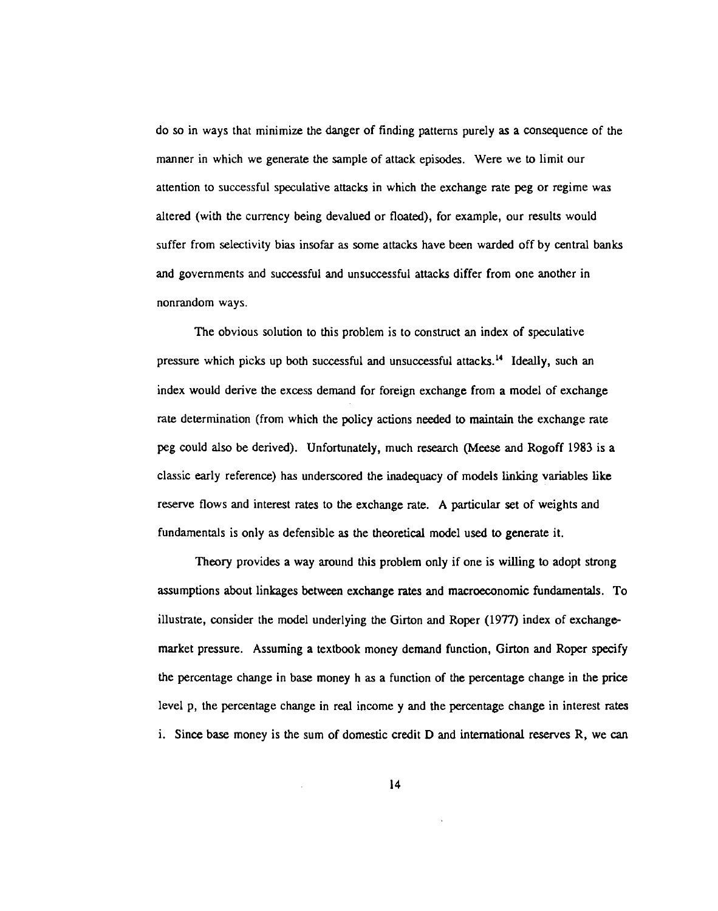do so in ways that minimize the danger of finding patterns purely as a consequence of the manner in which we generate the sample of attack episodes. Were we to limit our attention to successful speculative attacks in which the exchange rate peg or regime was altered (with the currency being devalued or floated), for example, our results would suffer from selectivity bias insofar as some attacks have been warded off by central banks and governments and successful and unsuccessful attacks differ from one another in nonrandom ways.

The obvious solution to this problem is to construct an index of speculative pressure which picks up both successful and unsuccessful attacks.'4 Ideally, such an index would derive the excess demand for foreign exchange from a model of exchange rate determination (from which the policy actions needed to maintain the exchange rate peg could also be derived). Unfortunately, much research (Meese and Rogoff 1983 is a classic early reference) has underscored the inadequacy of models linking variables like reserve flows and interest rates to the exchange rate. A particular set of weights and fundamentals is only as defensible as the theoretical model used to generate it.

Theory provides a way around this problem only if one is willing to adopt strong assumptions about linkages between exchange rates and macroeconomic fundamentals. To illustrate, consider the model underlying the Girton and Roper (1977) index of exchangemarket pressure. Assuming a textbook money demand function, Girton and Roper specify the percentage change in base money h as a function of the percentage change in the price level p, the percentage change in real income y and the percentage change in interest rates i. Since base money is the sum of domestic credit D and international reserves R, we can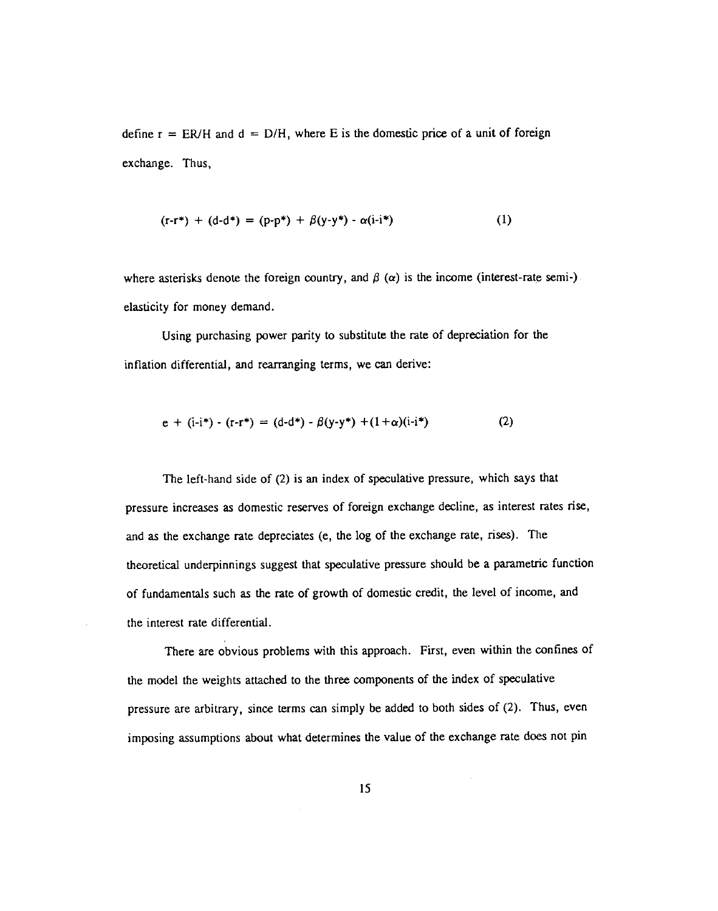define  $r = ER/H$  and  $d = D/H$ , where E is the domestic price of a unit of foreign exchange. Thus,

$$
(\mathbf{r} \cdot \mathbf{r}^*) + (\mathbf{d} \cdot \mathbf{d}^*) = (\mathbf{p} \cdot \mathbf{p}^*) + \beta(\mathbf{y} \cdot \mathbf{y}^*) \cdot \alpha(\mathbf{i} \cdot \mathbf{i}^*)
$$
 (1)

where asterisks denote the foreign country, and  $\beta$  ( $\alpha$ ) is the income (interest-rate semi-) elasticity for money demand.

Using purchasing power parity to substitute the rate of depreciation for the inflation differential, and rearranging terms, we can derive:

$$
e + (i-i^*) - (r-r^*) = (d-d^*) - \beta(y-y^*) + (1+\alpha)(i-i^*)
$$
 (2)

The left-hand side of (2) is an index of speculative pressure, which says that pressure increases as domestic reserves of foreign exchange decline, as interest rates rise, and as the exchange rate depreciates (e, the log of the exchange rate, rises). The theoretical underpinnings suggest that speculative pressure should be a parametric function of fundamentals such as the rate of growth of domestic credit, the level of income, and the interest rate differential.

There are obvious problems with this approach. First, even within the confines of the model the weights attached to the three components of the index of speculative pressure are arbitrary, since terms can simply be added to both sides of (2). Thus, even imposing assumptions about what determines the value of the exchange rate does not pin

 $\bar{z}$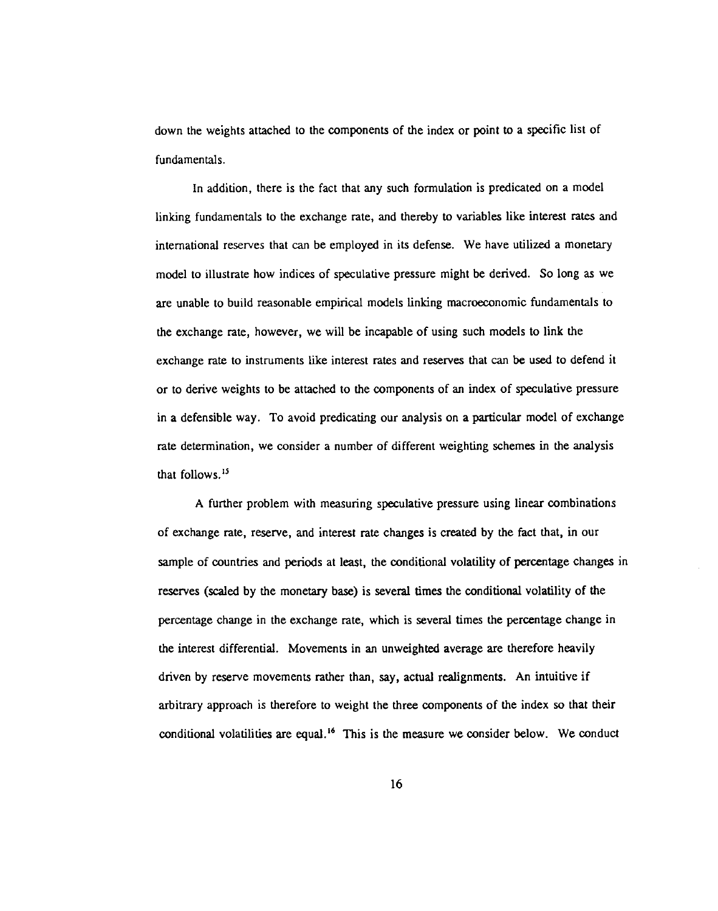down the weights attached to the components of the index or point to a specific list of fundamentals.

In addition, there is the fact that any such formulation is predicated on a model linking fundamentals to the exchange rate, and thereby to variables like interest rates and international reserves that can be employed in its defense. We have utilized a monetary model to illustrate how indices of speculative pressure might be derived. So long as we are unable to build reasonable empirical models linking macroeconomic fundamentals to the exchange rate, however, we will be incapable of using such models to link the exchange rate to instruments like interest rates and reserves that can be used to defend it or to derive weights to be attached to the components of an index of speculative pressure in a defensible way. To avoid predicating our analysis on a particular model of exchange rate determination, we consider a number of different weighting schemes in the analysis that follows.<sup>15</sup>

A further problem with measuring speculative pressure using linear combinations of exchange rate, reserve, and interest rate changes is created by the fact that, in our sample of countries and periods at least, the conditional volatility of percentage changes in reserves (scaled by the monetary base) is several times the conditional volatility of the percentage change in the exchange rate, which is several times the percentage change in the interest differential. Movements in an unweighted average are therefore heavily driven by reserve movements rather than, say, actual realignments. An intuitive if arbitrary approach is therefore to weight the three components of the index so that their conditional volatilities are equal.'6 This is the measure we consider below. We conduct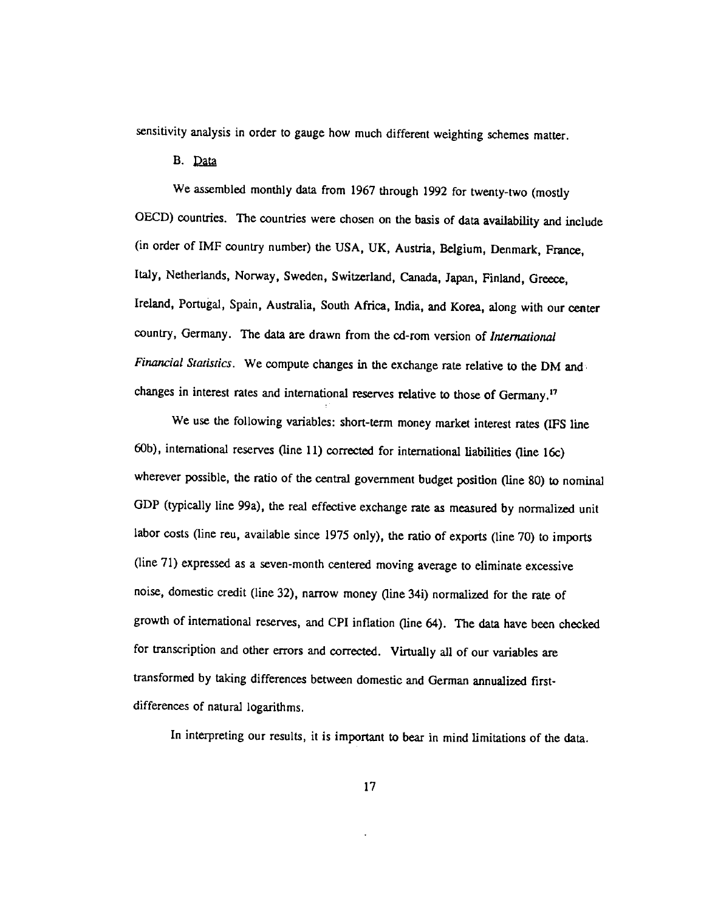sensitivity analysis in order to gauge how much different weighting schemes matter.

B. Data

We assembled monthly data from 1967 through 1992 for twenty-two (mostly OECD) countries. The countries were chosen on the basis of data availability and include (in order of IMF country number) the USA, UK, Austria, Belgium, Denmark, France, Italy, Netherlands, Norway, Sweden, Switzerland, Canada, Japan, Finland, Greece, Ireland, Portugal, Spain, Australia, South Africa, India, and Korea, along with our center country, Germany. The data are drawn from the cd-rom version of International Financial Statistics. We compute changes in the exchange rate relative to the DM and changes in interest rates and international reserves relative to those of Germany.'7

We use the following variables: short-term money market interest rates (IFS line 60b), internationaj reserves (line 11) corrected for international liabilities (line 16c) wherever possible, the ratio of the central government budget position (line 80) to nominal GDP (typically line 99a), the real effective exchange rate as measured by normalized unit labor costs (line reu, available since 1975 only), the ratio of exports (line 70) to imports (line 71) expressed as a seven-month centered moving average to eliminate excessive noise, domestic credit (line 32), narrow money (line 34i) normalized for the rate of growth of international reserves, and CPI inflation (line 64). The data have been checked for transcription and other errors and corrected. Virtually all of our variables are transformed by taking differences between domestic and German annualized firstdifferences of natural logarithms.

In interpreting our results, it is important to bear in mind limitations of the data.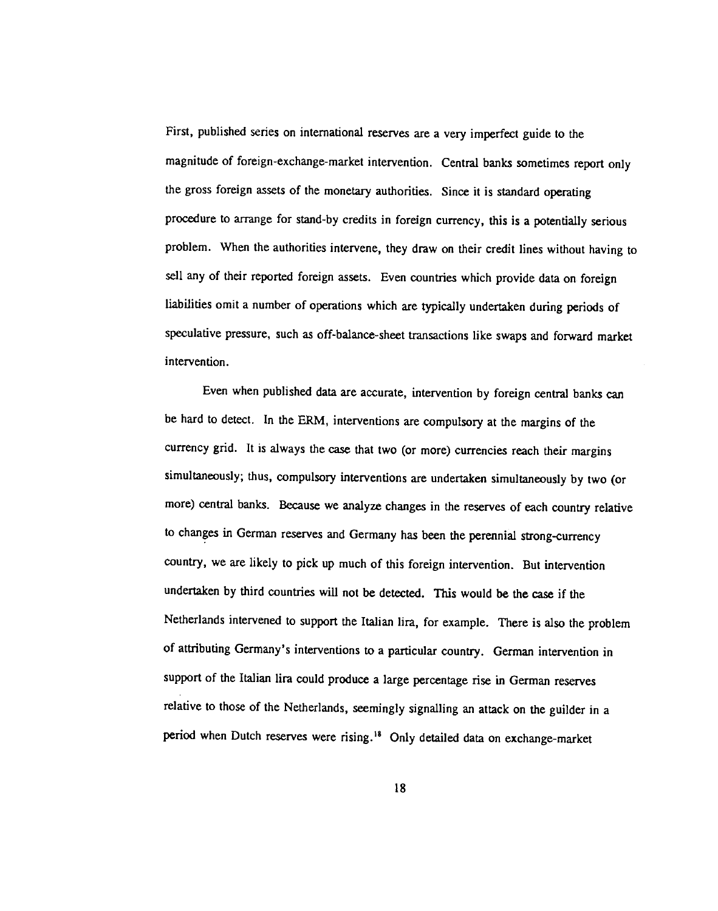First, published series on international reserves are a very imperfect guide to the magnitude of foreign-exchange-market intervention. Central banks sometimes report only the gross foreign assets of the monetary authorities. Since it is standard operating procedure to arrange for stand-by credits in foreign currency, this is a potentially serious problem. When the authorities intervene, they draw on their credit lines without having to sell any of their reported foreign assets. Even countries which provide data on foreign liabilities omit a number of operations which are typically undertaken during periods of speculative pressure, such as off-balance-sheet transactions like swaps and forward market intervention.

Even when published data are accurate, intervention by foreign central banks can be hard to detect. In the ERM, interventions are compulsory at the margins of the currency grid. It is always the case that two (or more) currencies reach their margins simultaneously; thus, compulsory interventions are undertaken simultaneously by two (or more) central banks. Because we analyze changes in the reserves of each country relative to changes in German reserves and Germany has been the perennial strong-currency country, we are likely to pick up much of this foreign intervention. But intervention undertaken by third countries will not be detected. This would be the case if the Netherlands intervened to support the Italian lira, for example. There is also the problem of attributing Germany's interventions to a particular country. German intervention in support of the Italian lira could produce a large percentage rise in German reserves relative to those of the Netherlands, seemingly signalling an attack on the guilder in a period when Dutch reserves were rising.<sup>18</sup> Only detailed data on exchange-market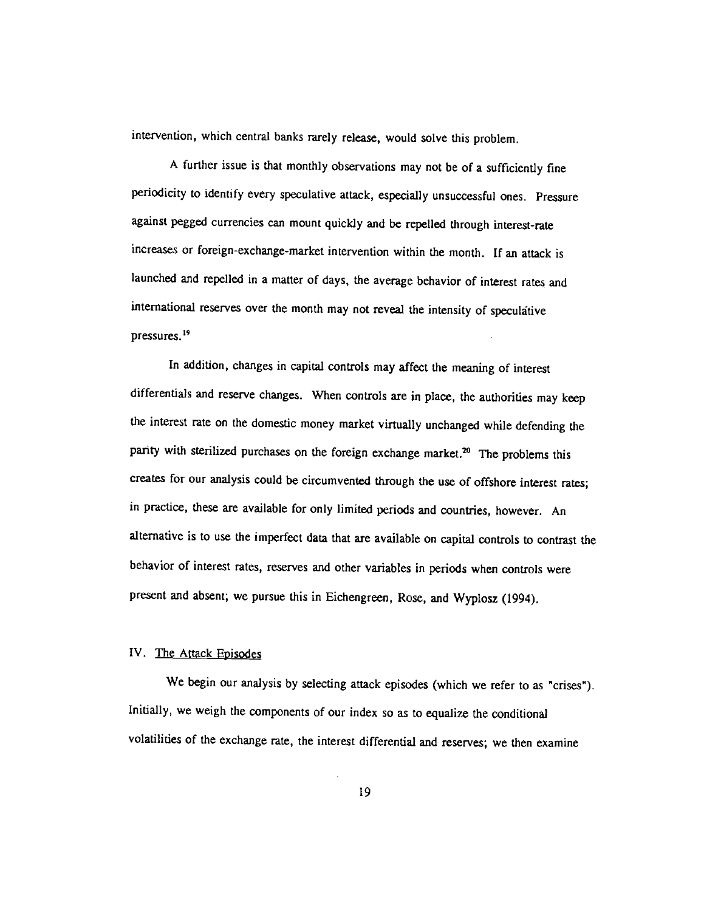intervention, which central banks rarely release, would solve this problem.

A further issue is that monthly observations may not be of a sufficiently fine periodicity to identify every speculative attack, especially unsuccessful ones. Pressure against pegged currencies can mount quickly and be repelled through interest-rate increases or foreign-exchange-market intervention within the month. If an attack is launched and repelled in a matter of days, the average behavior of interest rates and international reserves over the month may not reveal the intensity of speculative pressures.<sup>19</sup>

In addition, changes in capital controls may affect the meaning of interest differentials and reserve changes. When controls are in place, the authorities may keep the interest rate on the domestic money market virtually unchanged while defending the parity with sterilized purchases on the foreign exchange market.<sup>20</sup> The problems this creates for our analysis could be circumvented through the use of offshore interest rates; in practice, these are available for only limited periods and countries, however. An alternative is to use the imperfect data that are available on capital controls to contrast the behavior of interest rates, reserves and other variables in periods when controls were present and absent; we pursue this in Eichengreen, Rose, and Wyplosz (1994).

#### IV. The Attack Episodes

We begin our analysis by selecting attack episodes (which we refer to as "crises"). Initially, we weigh the components of our index so as to equalize the conditional volatilities of the exchange rate, the interest differential and reserves; we then examine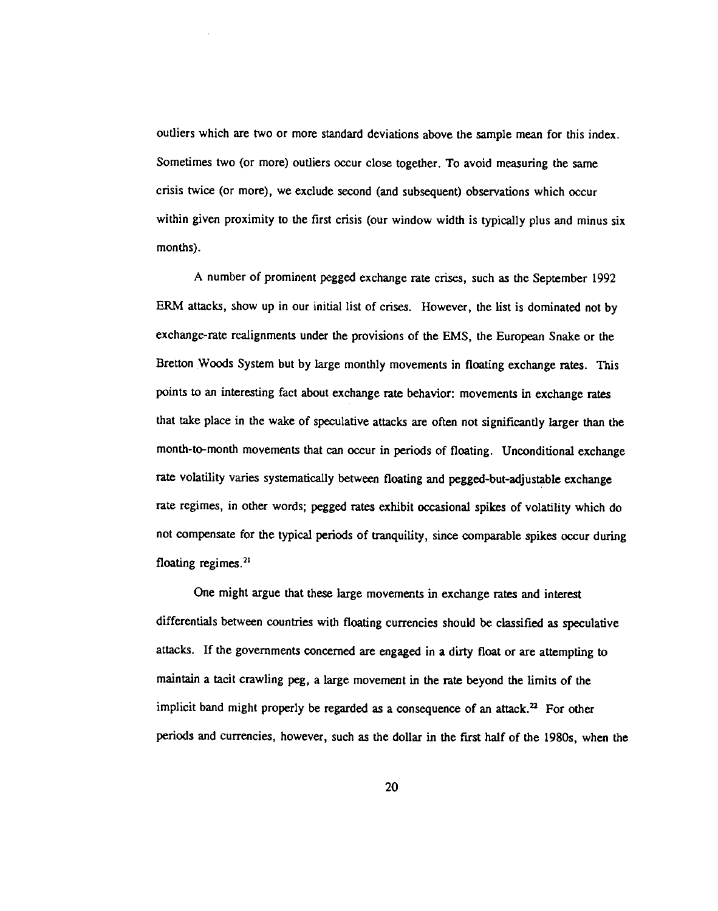outliers which are two or more standard deviations above the sample mean for this index. Sometimes two (or more) outliers occur close together. To avoid measuring the same crisis twice (or more), we exclude second (and subsequent) observations which occur within given proximity to the first crisis (our window width is typically plus and minus six months).

A number of prominent pegged exchange rate crises, such as the September 1992 ERM attacks, show up in our initial list of crises. However, the list is dominated not by exchange-rate realignments under the provisions of the EMS, the European Snake or the Bretton Woods System but by large monthly movements in floating exchange rates. This points to an interesting fact about exchange rate behavior: movements in exchange rates that take place in the wake of speculative attacks are often not significantly larger than the month-to-month movements that can occur in periods of floating. Unconditional exchange rate volatility varies systematically between floating and pegged-but-adjustable exchange rate regimes, in other words; pegged rates exhibit occasional spikes of volatility which do not compensate for the typical periods of tranquility, since comparable spikes occur during floating regimes.<sup>21</sup>

One might argue that these large movements in exchange rates and interest differentials between countries with floating currencies should be classified as speculative attacks. If the governments concerned are engaged in a dirty float or are attempting to maintain a tacit crawling peg, a large movement in the rate beyond the limits of the implicit band might properly be regarded as a consequence of an attack.<sup>22</sup> For other periods and currencies, however, such as the dollar in the first half of the 1980s, when the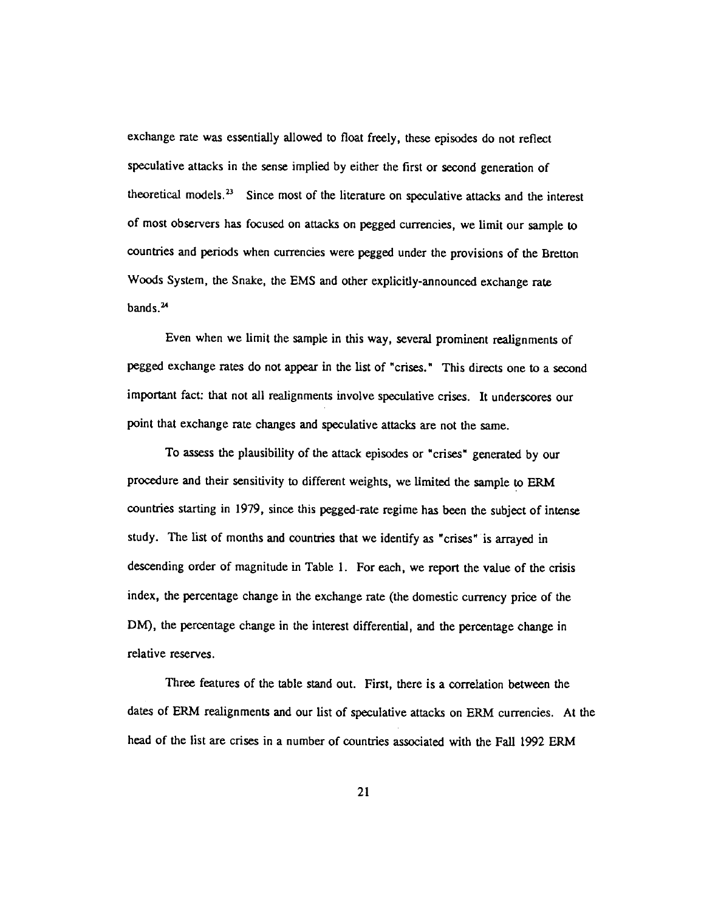exchange rate was essentially allowed to float freely, these episodes do not reflect speculative attacks in the sense implied by either the first or second generation of theoretical models. $<sup>23</sup>$  Since most of the literature on speculative attacks and the interest</sup> of most observers has focused on attacks on pegged currencies, we limit our sample to countries and periods when currencies were pegged under the provisions of the Bretton Woods System, the Snake, the EMS and other explicitly-announced exchange rate bands.<sup>24</sup>

Even when we limit the sample in this way, several prominent realignments of pegged exchange rates do not appear in the list of "crises." This directs one to a second important fact: that not all realignments involve speculative crises. It underscores our point that exchange rate changes and speculative attacks are not the same.

To assess the plausibility of the attack episodes or "crises" generated by our procedure and their sensitivity to different weights, we limited the sample to ERM countries starting in 1979, since this pegged-rate regime has been the subject of intense study. The list of months and countries that we identify as "crises" is arrayed in descending order of magnitude in Table 1. For each, we report the value of the crisis index, the percentage change in the exchange rate (the domestic currency price of the DM), the percentage change in the interest differential, and the percentage change in relative reserves.

Three features of the table stand out. First, there is a correlation between the dates of ERM realignments and our list of speculative attacks on ERM currencies. At the head of the list are crises in a number of countries associated with the Fall 1992 ERM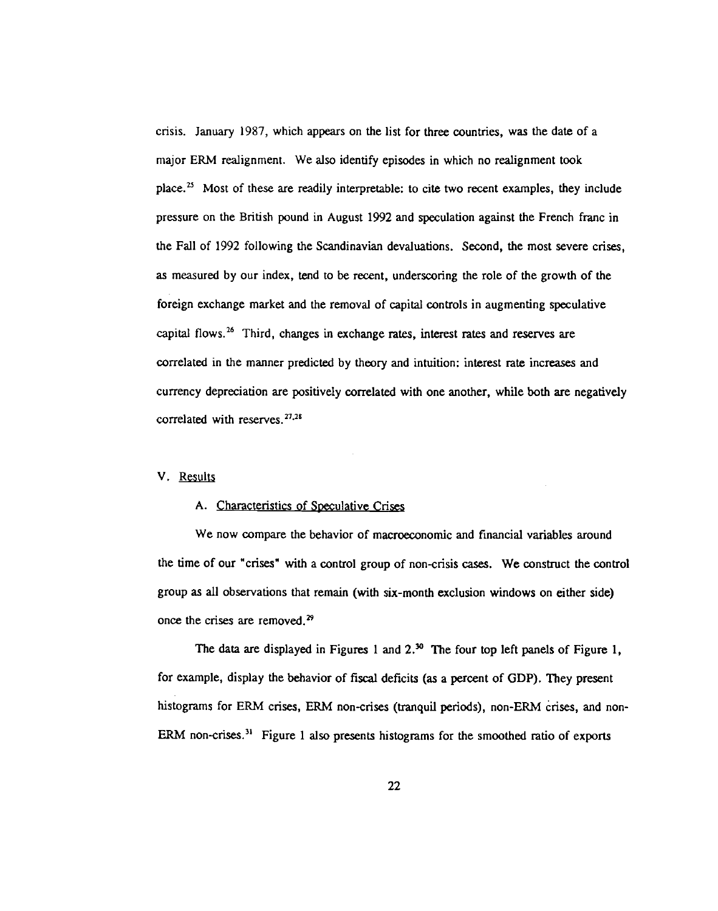crisis. January 1987, which appears on the list for three countries, was the date of a major ERM realignment. We also identify episodes in which no realignment took place.<sup>25</sup> Most of these are readily interpretable: to cite two recent examples, they include pressure on the British pound in August 1992 and speculation against the French franc in the Fall of 1992 following the Scandinavian devaluations. Second, the most severe crises, as measured by our index, tend to be recent, underscoring the role of the growth of the foreign exchange market and the removal of capital controls in augmenting speculative capital flows.<sup>26</sup> Third, changes in exchange rates, interest rates and reserves are correlated in the manner predicted by theory and intuition: interest rate increases and currency depreciation are positively correlated with one another, while both are negatively correlated with reserves. $^{27,28}$ 

#### V. Results

## A. Characteristics of Speculative Crises

We now compare the behavior of macroeconomic and financial variables around the time of our "crises' with a control group of non-crisis cases. We construct the control group as all observations that remain (with six-month exclusion windows on either side) once the crises are removed.

The data are displayed in Figures 1 and  $2.^{30}$  The four top left panels of Figure 1, for example, display the behavior of fiscal deficits (as a percent of GDP). They present histograms for ERM crises, ERM non-crises (tranquil periods), non-ERM crises, and non-ERM non-crises.<sup>31</sup> Figure 1 also presents histograms for the smoothed ratio of exports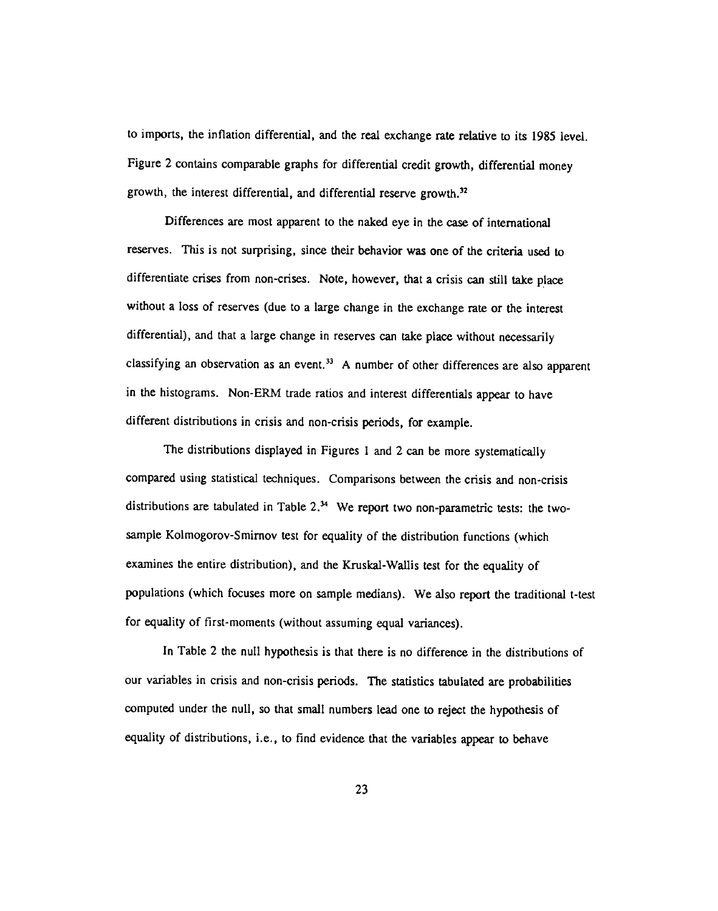to imports, the inflation differential, and the real exchange rate relative to its 1985 level. Figure 2 contains comparable graphs for differential credit growth, differential money growth, the interest differential, and differential reserve growth.<sup>32</sup>

Differences are most apparent to the naked eye in the case of international reserves. This is not surprising, since their behavior was one of the criteria used to differentiate crises from non-crises. Note, however, that a crisis can still take place without a loss of reserves (due to a large change in the exchange rate or the interest differential), and that a large change in reserves can take place without necessarily classifying an observation as an event.<sup>33</sup> A number of other differences are also apparent in the histograms. Non-ERM trade ratios and interest differentials appear to have different distributions in crisis and non-crisis periods, for example.

The distributions displayed in Figures 1 and 2 can be more systematically compared using statistical techniques. Comparisons between the crisis and non-crisis distributions are tabulated in Table  $2<sup>34</sup>$  We report two non-parametric tests: the twosample Kolmogorov-Smimov test for equality of the distribution functions (which examines the entire distribution), and the Kruskal-Wallis test for the equality of populations (which focuses more on sample medians). We also report the traditional t-test for equality of first-moments (without assuming equal variances).

In Table 2 the null hypothesis is that there is no difference in the distributions of our variables in crisis and non-crisis periods. The statistics tabulated are probabilities computed under the null, so that small numbers lead one to reject the hypothesis of equality of distributions, i.e., to find evidence that the variables appear to behave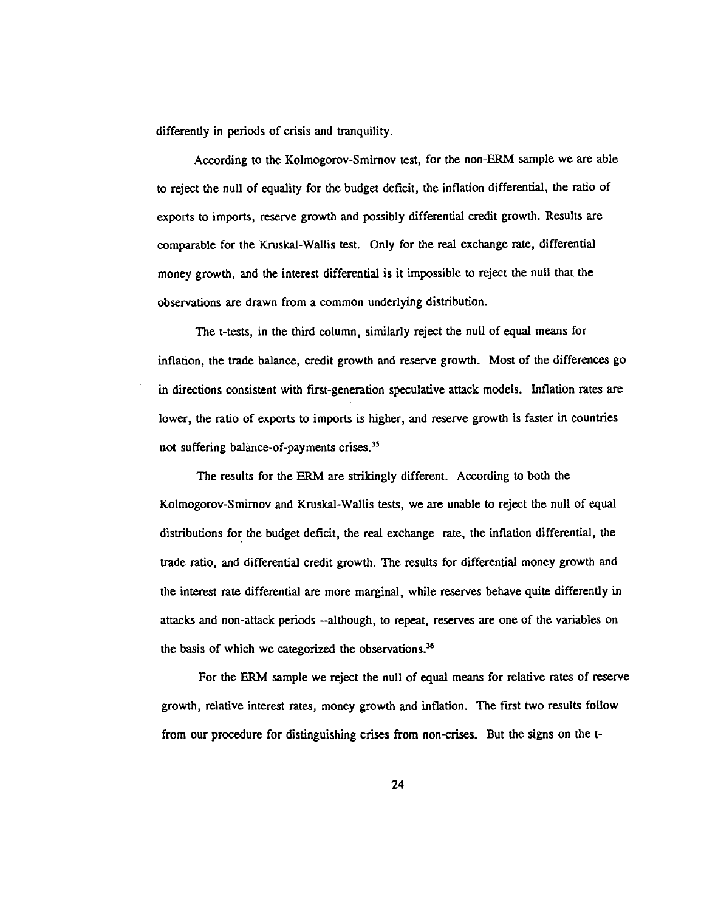differently in periods of crisis and tranquility.

According to the Kolmogorov-Smirnov test, for the non-ERM sample we are able to reject the null of equality for the budget deficit, the inflation differential, the ratio of exports to imports, reserve growth and possibly differential credit growth. Results are comparable for the Kruskal-Wallis test. Only for the real exchange rate, differential money growth, and the interest differential is it impossible to reject the null that the observations are drawn from a common underlying distribution.

The t-tests, in the third column, similarly reject the null of equal means for inflation, the trade balance, credit growth and reserve growth. Most of the differences go in directions consistent with first-generation speculative attack models. Inflation rates are lower, the ratio of exports to imports is higher, and reserve growth is faster in countries not suffering balance-of-payments crises.<sup>35</sup>

The results for the ERM are strikingly different. According to both the Kolmogorov-Smimov and Kruskal-Wallis tests, we are unable to reject the null of equal distributions for the budget deficit, the real exchange rate, the inflation differential, the trade ratio, and differential credit growth. The results for differential money growth and the interest rate differential are more marginal, while reserves behave quite differently in attacks and non-attack periods --although, to repeat, reserves are one of the variables on the basis of which we categorized the observations.<sup>36</sup>

For the ERM sample we reject the null of equal means for relative rates of reserve growth, relative interest rates, money growth and inflation. The first two results follow from our procedure for distinguishing crises from non-crises. But the signs on the t-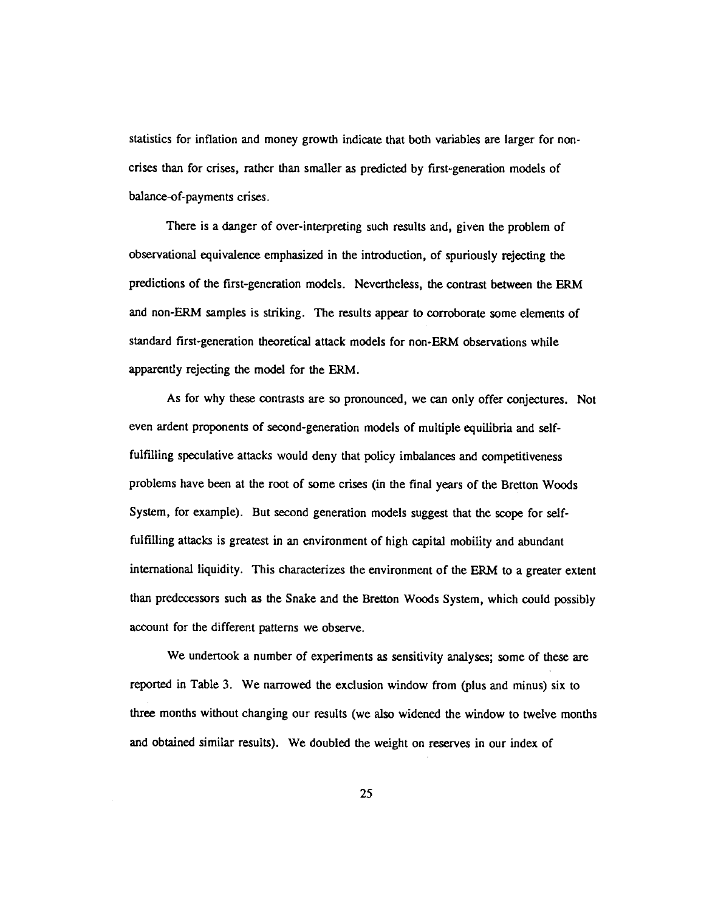statistics for inflation and money growth indicate that both variables are larger for noncrises than for crises, rather than smaller as predicted by first-generation models of balance-of-payments crises.

There is a danger of over-interpreting such results and, given the problem of observational equivalence emphasized in the introduction, of spuriously rejecting the predictions of the first-generation models. Nevertheless, the contrast between the ERM and non-ERM samples is striking. The results appear to corroborate some elements of standard first-generation theoretical attack models for non-ERM observations while apparently rejecting the model for the ERM.

As for why these contrasts are so pronounced, we can only offer conjectures. Not even ardent proponents of second-generation models of multiple equilibria and selffulfilling speculative attacks would deny that policy imbalances and competitiveness problems have been at the root of some crises (m the final years of the Bretton Woods System, for example). But second generation models suggest that the scope for selffulfilling attacks is greatest in an environment of high capital mobility and abundant international liquidity. This characterizes the environment of the ERM to a greater extent than predecessors such as the Snake and the Bretton Woods System, which could possibly account for the different patterns we observe.

We undertook a number of experiments as sensitivity analyses; some of these are reported in Table 3. We narrowed the exclusion window from (plus and minus) six to three months without changing our results (we also widened the window to twelve months and obtained similar results). We doubled the weight on reserves in our index of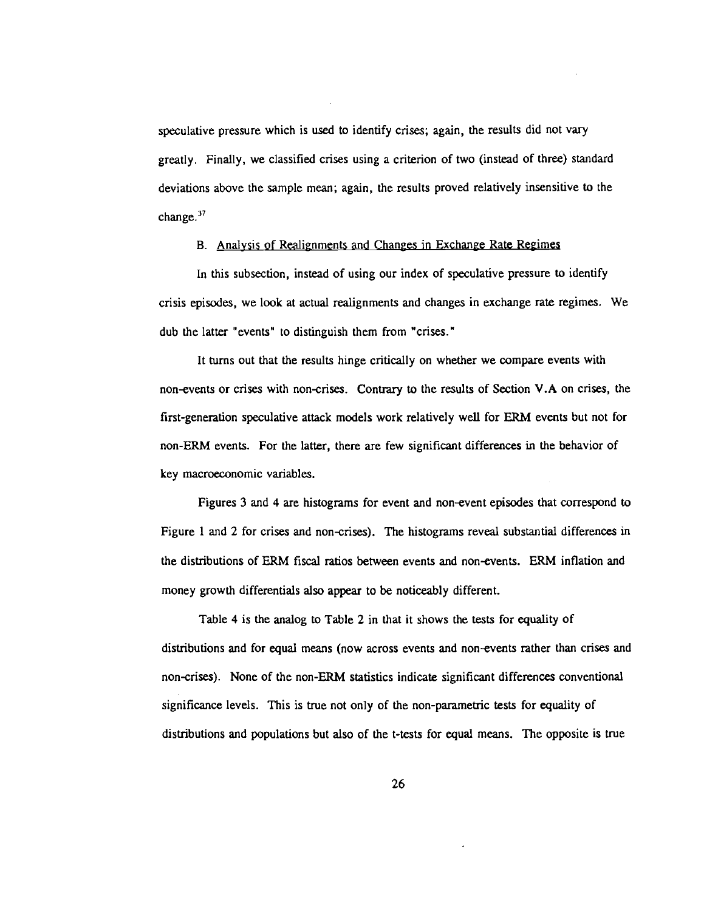speculative pressure which is used to identify crises; again, the results did not vary greatly. Finally, we classified crises using a criterion of two (instead of three) standard deviations above the sample mean; again, the results proved relatively insensitive to the change. $37$ 

#### B. Analysis pf Realignments and Changes in Exchange Rate Regimes

In this subsection, instead of using our index of speculative pressure to identify crisis episodes, we look at actual realignments and changes in exchange rate regimes. We dub the latter "events" to distinguish them from "crises."

It turns out that the results hinge critically on whether we compare events with non-events or crises with non-crises. Contrary to the results of Section V.A on crises, the first-generation speculative attack models work relatively well for ERM events but not for non-ERM events. For the latter, there are few significant differences in the behavior of key macroeconomic variables.

Figures 3 and 4 are histograms for event and non-event episodes that correspond to Figure 1 and 2 for crises and non-crises). The histograms reveal substantial differences in the distributions of ERM fiscal ratios between events and non-events. ERM inflation and money growth differentials also appear to be noticeably different.

Table 4 is the analog to Table 2 in that it shows the tests for equality of distributions and for equal means (now across events and non-events rather than crises and non-crises). None of the non-ERM statistics indicate significant differences conventional significance levels. This is true not only of the non-parametric tests for equality of distributions and populations but also of the t-tests for equal means. The opposite is true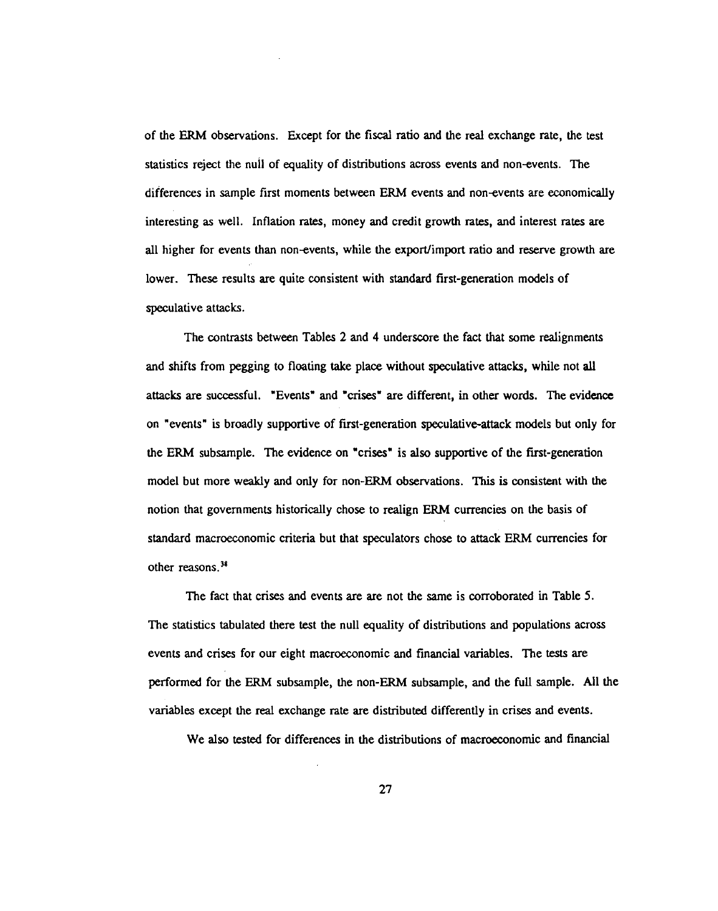of the ERM observations. Except for the fiscal ratio and the real exchange rate, the test statistics reject the null of equality of distributions across events and non-events. The differences in sample first moments between ERM events and non-events are economically interesting as well. Inflation rates, money and credit growth rates, and interest rates are all higher for events than non-events, while the export/import ratio and reserve growth are lower. These results are quite consistent with standard first-generation models of speculative attacks.

The contrasts between Tables 2 and 4 underscore the fact that some realignments and shifts from pegging to floating take place without speculative attacks, while not all attacks are successful. "Events" and "crises" are different, in other words. The evidence on "events" is broadly supportive of first-generation speculative-attack models but only for the ERM subsample. The evidence on "crises" is also supportive of the first-generation model but more weakly and only for non-ERM observations. This is consistent with the notion that governments historically chose to realign ERM currencies on the basis of standard macroeconomic criteria but that speculators chose to attack ERM currencies for other reasons.<sup>38</sup>

The fact that crises and events are are not the same is corroborated in Table 5. The statistics tabulated there test the null equality of distributions and populations across events and crises for our eight macroeconomic and financial variables. The tests are performed for the ERM subsample, the non-ERM subsample, and the full sample. All the variables except the real exchange rate are distributed differently in crises and events.

We also tested for differences in the distributions of macroeconomic and financial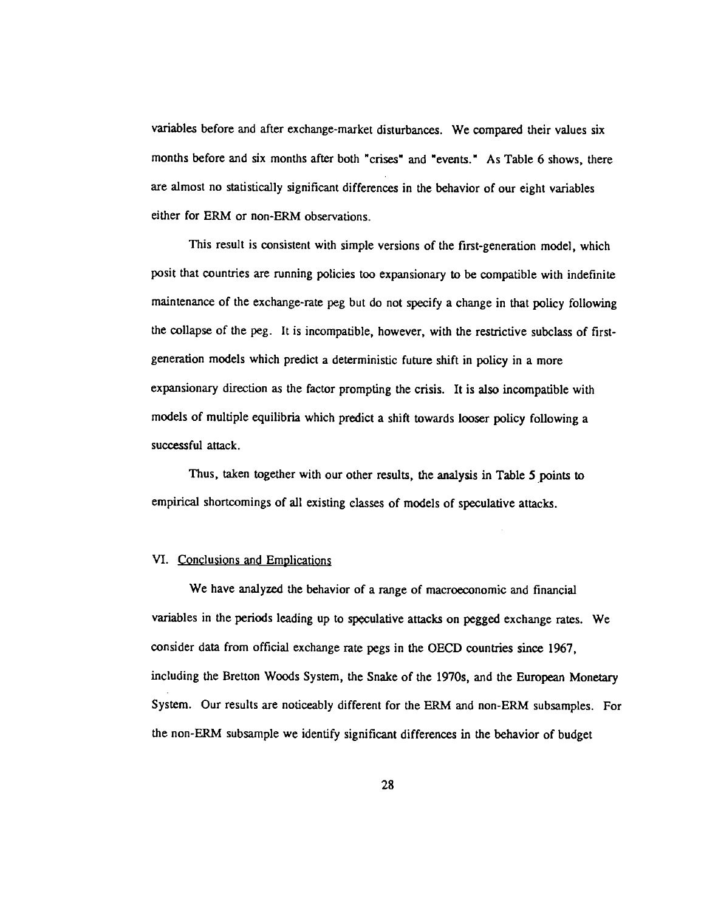variables before and after exchange-market disturbances. We compared their values six months before and six months after both "crises" and "events." As Table 6 shows, there are almost no statistically significant differences in the behavior of our eight variables either for ERM or non-ERM observations.

This result is consistent with simple versions of the first-generation model, which posit that countries are running policies too expansionary to be compatible with indefinite maintenance of the exchange-rate peg but do not specify a change in that policy following the collapse of the peg. It is incompatible, however, with the restrictive subclass of firstgeneration models which predict a deterministic future shift in policy in a more expansionary direction as the factor prompting the crisis. It is also incompatible with models of multiple equilibria which predict a shift towards looser policy following a successful attack.

Thus, taken together with our other results, the analysis in Table 5 points to empirical shortcomings of all existing classes of models of speculative attacks.

#### VI. Conclusions and Emplications

We have analyzed the behavior of a range of macroeconomic and financial variables in the periods leading up to speculative attacks on pegged exchange rates. We consider data from official exchange rate pegs in the OECD countries since 1967, including the Bretton Woods System, the Snake of the 1970s, and the European Monetary System. Our results are noticeably different for the ERM and non-ERM subsamples. For the non-ERM subsample we identify significant differences in the behavior of budget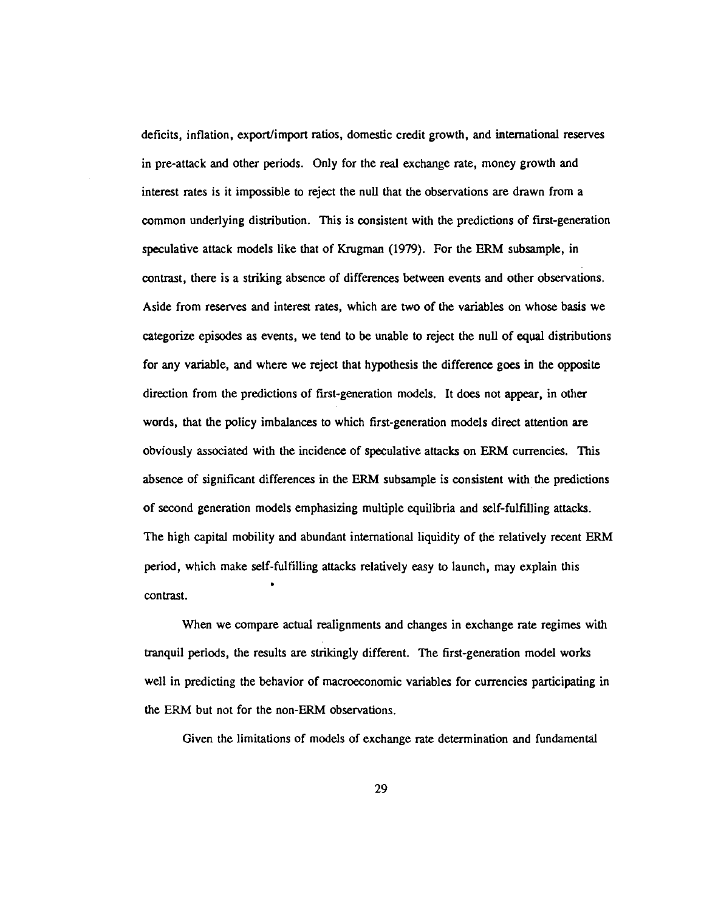deficits, inflation, export/import ratios, domestic credit growth, and international reserves in pre-attack and other periods. Only for the real exchange rate, money growth and interest rates is it impossible to reject the null that the observations are drawn from a common underlying distribution. This is consistent with the predictions of first-generation speculative attack models like that of Krugman (1979). For the ERM subsample, in contrast, there is a striking absence of differences between events and other observations. Aside from reserves and interest rates, which are two of the variables on whose basis we categorize episodes as events, we tend to be unable to reject the null of equal distributions for any variable, and where we reject that hypothesis the difference goes in the opposite direction from the predictions of first-generation models. It does not appear, in other words, that the policy imbalances to which first-generation models direct attention are obviously associated with the incidence of speculative attacks on ERM currencies. This absence of significant differences in the ERM subsample is consistent with the predictions of second generation models emphasizing multiple equilibria and self-fulfflhing attacks. The high capital mobility and abundant international liquidity of the relatively recent ERM period, which make self-fulfilling attacks relatively easy to launch, may explain this contrast.

When we compare actual realignments and changes in exchange rate regimes with tranquil periods, the results are strikingly different. The first-generation model works well in predicting the behavior of macroeconomic variables for currencies participating in the ERM but not for the non-ERM observations.

Given the limitations of models of exchange rate determination and fundamental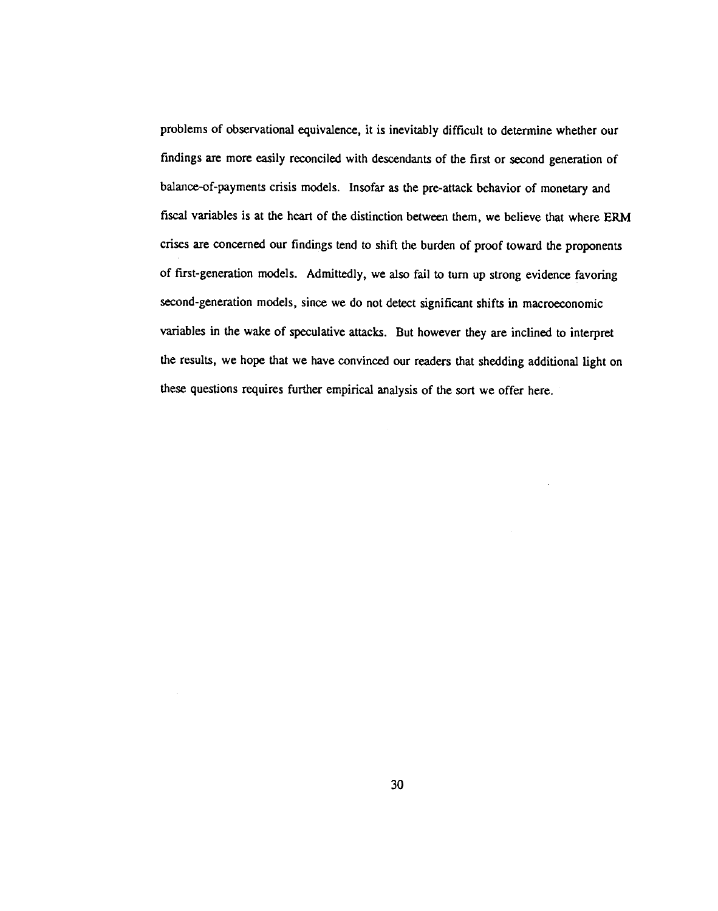problems of observational equivalence, it is inevitably difficult to determine whether our findings are more easily reconciled with descendants of the first or second generation of balance-of-payments crisis models. Insofar as the pre-attack behavior of monetary and fiscal variables is at the heart of the distinction between them, we believe that where ERM crises are concerned our findings tend to shift the burden of proof toward the proponents of first-generation models. Admittedly, we also fail to turn up strong evidence favoring second-generation models, since we do not detect significant shifts in macroeconomic variables in the wake of speculative attacks. But however they are inclined to interpret the results, we hope that we have convinced our readers that shedding additional light on these questions requires further empirical analysis of the sort we offer here.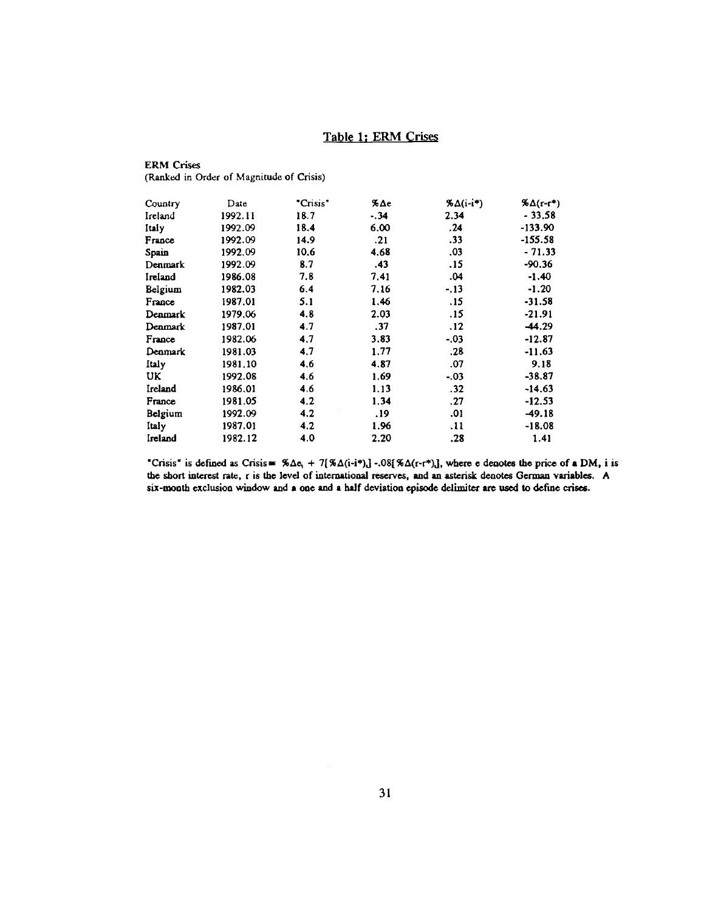# Table 1; ERM Crises

## ERM Crises (Ranked in Order of Magnitude of Crisis)

| Country        | Date    | "Crisis" | $\lambda \Delta c$ | $\delta \Delta (i-i^*)$ | $\frac{a}{b} \Delta(r-r^*)$ |  |
|----------------|---------|----------|--------------------|-------------------------|-----------------------------|--|
| Ireland        | 1992.11 | 18.7     | $-.34$             | 2.34                    | $-33.58$                    |  |
| Italy          | 1992.09 | 18.4     | 6.00               | .24                     | $-133.90$                   |  |
| France         | 1992.09 | 14.9     | .21                | .33                     | -155.58                     |  |
| Spain          | 1992.09 | 10.6     | 4.68               | .03                     | $-71.33$                    |  |
| Denmark        | 1992.09 | 8.7      | .43                | . 15                    | $-90.36$                    |  |
| Ireland        | 1986.08 | 7.8      | 7.41               | .04                     | $-1.40$                     |  |
| Belgium        | 1982.03 | 6.4      | 7.16               | $-.13$                  | $-1.20$                     |  |
| France         | 1987.01 | 5.1      | 1.46               | .15                     | $-31.58$                    |  |
| Denmark        | 1979.06 | 4.8      | 2.03               | .15                     | $-21.91$                    |  |
| Denmark        | 1987.01 | 4.7      | .37                | .12                     | -44.29                      |  |
| France         | 1982.06 | 4.7      | 3.83               | $-.03$                  | $-12.87$                    |  |
| <b>Denmark</b> | 1981.03 | 4.7      | 1.77               | .28                     | -11.63                      |  |
| <b>Italy</b>   | 1981.10 | 4.6      | 4.87               | .07                     | 9.18                        |  |
| UK.            | 1992.08 | 4.6      | 1.69               | $-.03$                  | $-38.87$                    |  |
| Ireland        | 1986.01 | 4.6      | 1.13               | .32                     | $-14.63$                    |  |
| France         | 1981.05 | 4.2      | 1,34               | .27                     | $-12.53$                    |  |
| Belgium        | 1992.09 | 4.2      | . 19               | .01                     | $-49.18$                    |  |
| Italy          | 1987.01 | 4.2      | 1.96               | .11                     | $-18.08$                    |  |
| Ireland        | 1982.12 | 4.0      | 2.20               | .28                     | 1.41                        |  |

"Crisis" is defined as Crisis  $\cong \%\Delta c_1 + 7[\%\Delta(i-i*)] - .08[\%\Delta(r-i*)]$ , where e denotes the price of a DM, i is the short interest rate, r is the level of international reserves, and an asterisk denotes German variables. A six-month exclusion window and a one and a half deviation episode delimiter are used to define crises.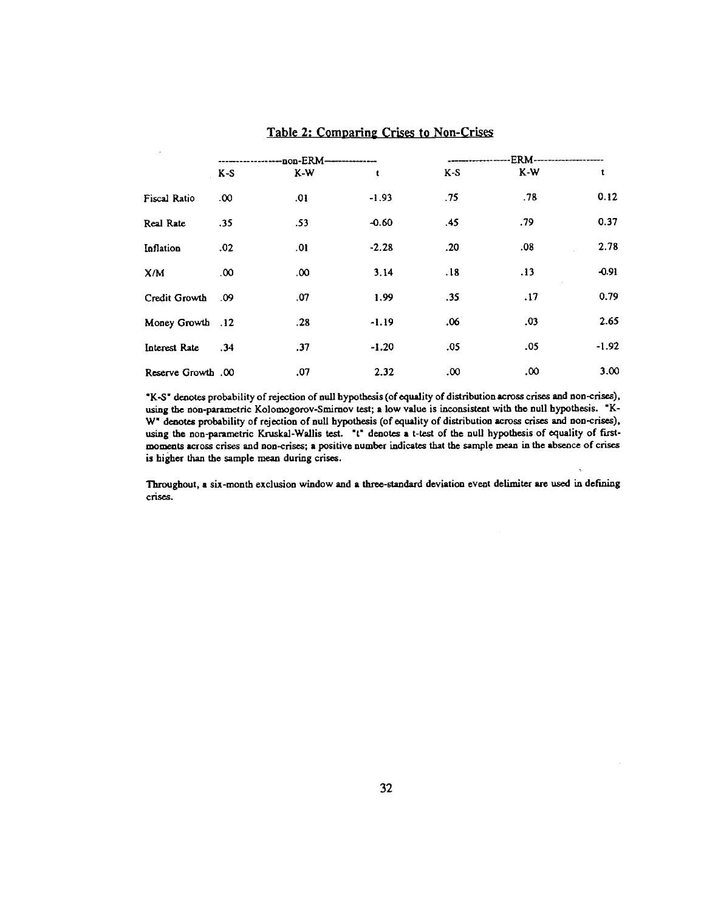| $\mathbf{v}$       | ------------non-ERM--------------- |          |         | .ERM------------------- |     |         |
|--------------------|------------------------------------|----------|---------|-------------------------|-----|---------|
|                    | $K-S$                              | $K-W$    | t       | K-S                     | K-W |         |
| Fiscal Ratio       | .00 <sub>1</sub>                   | .01      | $-1.93$ | .75                     | .78 | 0.12    |
| Real Rate          | .35                                | .53      | $-0.60$ | .45                     | .79 | 0.37    |
| Inflation          | .02                                | .01      | $-2.28$ | .20                     | .08 | 2.78    |
| X/M                | 00.                                | $.00 \,$ | 3.14    | .18                     | .13 | $-0.91$ |
| Credit Growth      | 0.09                               | .07      | 1.99    | .35                     | .17 | 0.79    |
| Money Growth .12   |                                    | .28      | $-1.19$ | .06                     | .03 | 2.65    |
| Interest Rate      | .34                                | .37      | $-1.20$ | .05                     | .05 | $-1.92$ |
| Reserve Growth .00 |                                    | .07      | 2.32    | 00.                     | .00 | 3.00    |

## Table 2: Comparing Crises to Non-Crises

K-S denotes probability of rejection of null hypothesis (of equality of distribution across crises and non-crises), using the non-parametric Kolomogorov-Smirnov test; a low value is inconsistent with the null hypothesis. "K-W" denotes probability of rejection of null hypothesis (of equality of distribution across crises and non-crises), using the non-parametric Kruskal-Wallis test. "t" denotes a t-test of the null hypothesis of equality of firstmoments across crises and non-crises; a positive number indicates that the sample mean in the absence of crises is higher than the sample mean during crises.

Throughout, a six-month exclusion window and a three-standard deviation event delimiter are used in defining crises.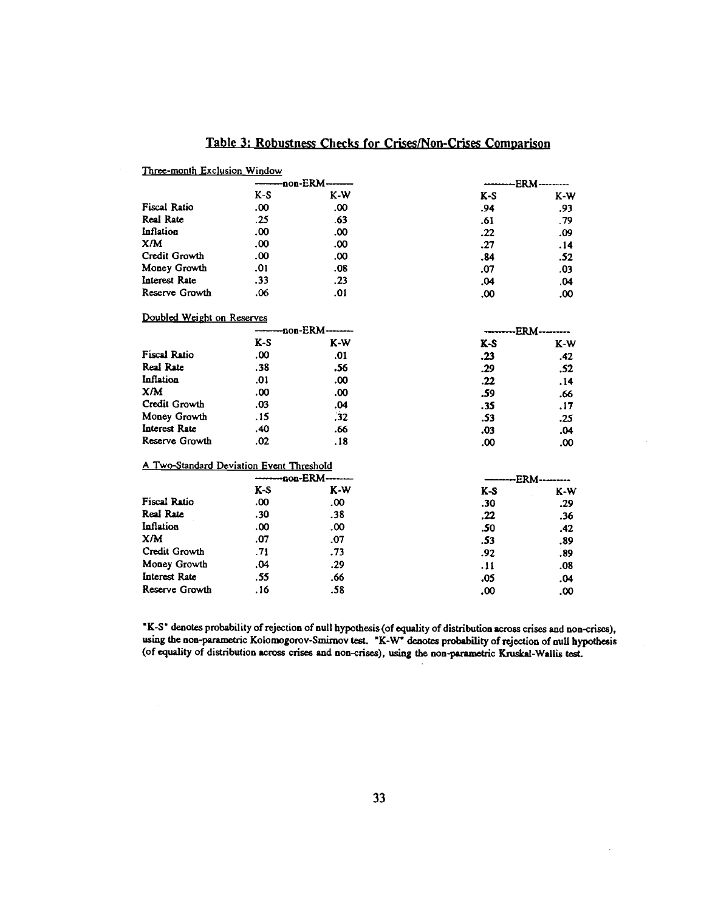| Three-month Exclusion Window             |       |                  |                      |       |  |
|------------------------------------------|-------|------------------|----------------------|-------|--|
|                                          |       | -non-ERM-        | <b>ERM</b> --------- |       |  |
|                                          | $K-S$ | $K-W$            | $K-S$                | K-W   |  |
| <b>Fiscal Ratio</b>                      | .00.  | .00              | .94                  | .93   |  |
| Real Rate                                | .25   | .63              | .61                  | .79   |  |
| Inflation                                | .00   | .00              | .22                  | .09   |  |
| X/M                                      | .00.  | .00              | .27                  | .14   |  |
| Credit Growth                            | .00   | .00              | .84                  | .52   |  |
| Money Growth                             | .01   | .08              | .07                  | .03   |  |
| Interest Rate                            | .33   | .23              | .04                  | .04   |  |
| Reserve Growth                           | .06   | .01              | 00.                  | .00   |  |
| Doubled Weight on Reserves               |       |                  |                      |       |  |
|                                          |       | -non-ERM-------- | -ERM-                |       |  |
|                                          | $K-S$ | $K-W$            | K-S                  | $K-W$ |  |
| <b>Fiscal Ratio</b>                      | .00   | .01              | .23                  | .42   |  |
| Real Rate                                | .38   | .56              | .29                  | .52   |  |
| Inflation                                | .01   | .00              | .22                  | .14   |  |
| X/M                                      | .00   | .00              | .59                  | .66   |  |
| Credit Growth                            | .03   | .04              | .35                  | .17   |  |
| Money Growth                             | .15   | .32              | .53                  | .25   |  |
| Interest Rate                            | .40   | .66              | .03                  | .04   |  |
| Reserve Growth                           | .02   | .18              | .00                  | .00   |  |
| A Two-Standard Deviation Event Threshold |       |                  |                      |       |  |
|                                          |       | -non-ERM--       | -ERM-                |       |  |
|                                          | $K-S$ | $K-W$            | $K-S$                | K-W   |  |
| <b>Fiscal Ratio</b>                      | .00   | .00              | .30                  | .29   |  |
| Real Rate                                | .30   | .38              | .22                  | .36   |  |
| Inflation                                | .00   | .00              | .50                  | .42   |  |
| X/M                                      | .07   | .07              | .53                  | .89   |  |
| Credit Growth                            | .71   | .73              | .92                  | .89   |  |
| Money Growth                             | .04   | .29              | .11                  | .08   |  |
| Interest Rate                            | .55   | .66              | .05                  | .04   |  |
| Reserve Growth                           | .16   | .58              | .00                  | .00   |  |

# Table 3: Robustness Checks for Crises/Non-Crises Comparison

K-S• denotes probability of rejection of null hypothesis (of equality of distribution across crises and non-crises), using the non-parametric Kolomogorov-Smirnov test. "K-W" denotes probability of rejection of null hypothesis (of equality of distribution across crises and non-crises), using the non-parametric Knska1-Wal1is test.

 $\ddot{\phantom{a}}$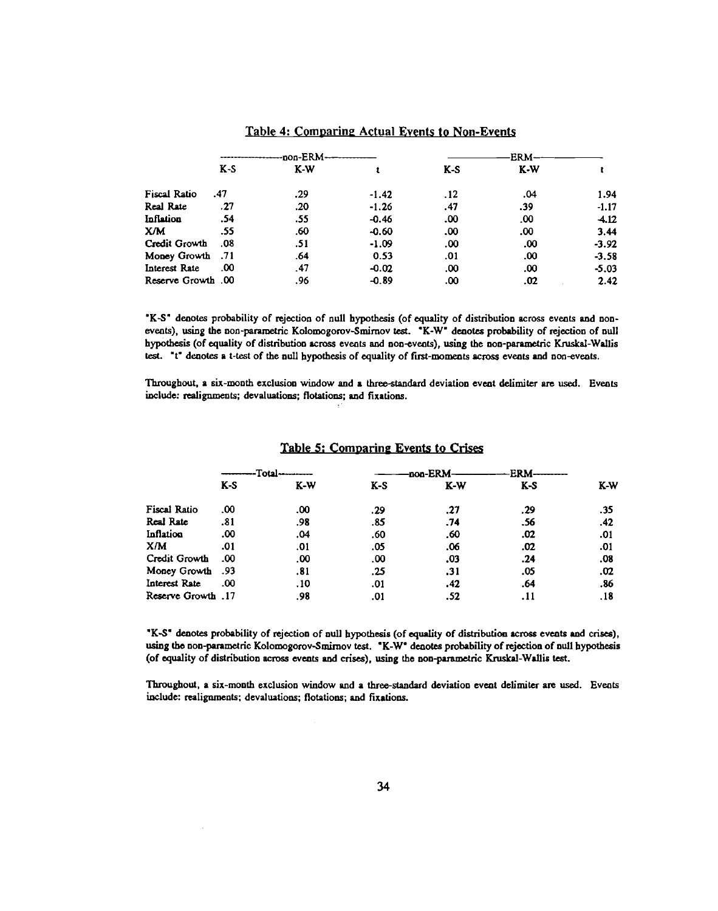|                    |       | -------------------non-ERM-- |         |       | -ERM- |         |  |
|--------------------|-------|------------------------------|---------|-------|-------|---------|--|
|                    | $K-S$ | $K-W$                        |         | $K-S$ | $K-W$ |         |  |
| Fiscal Ratio       | .47   | .29                          | $-1.42$ | .12   | 04.   | 1.94    |  |
| Real Rate          | .27   | .20                          | $-1.26$ | .47   | .39   | $-1.17$ |  |
| Inflation          | .54   | .55                          | $-0.46$ | .00   | .00   | $-4.12$ |  |
| XМ                 | .55   | .60                          | $-0.60$ | .00   | .00   | 3.44    |  |
| Credit Growth      | .08   | .51                          | $-1.09$ | .00   | .00   | $-3.92$ |  |
| 11. Money Growth   |       | .64                          | 0.53    | .01   | .00   | $-3.58$ |  |
| Interest Rate      | .00   | .47                          | $-0.02$ | .00   | .00   | $-5.03$ |  |
| 00. Reserve Growth |       | .96                          | $-0.89$ | .00   | .02   | 2.42    |  |

#### Table 4: Comparing Actual Events to Non-Events

'K-S' denotes probability of rejection of null hypothesis (of equality of distribution across events and nonevents), using the non-parametric Kolomogorov-Smirnov test. "K-W" denotes probability of rejection of null hypothesis (of equality of distribution across events and non-events), using the non-parametric Kruskal-Wallis test. "t" denotes a t-test of the null hypothesis of equality of first-moments across events and non-events.

Throughout, a six-month exclusion window and a three-standard deviation event delimiter are used. Events include: realignments; devaluations; flotations; and fixations.

|                     | Total- |       | <b>ERM</b><br>-non-ERM |       |     |     |  |
|---------------------|--------|-------|------------------------|-------|-----|-----|--|
|                     | $K-S$  | $K-W$ | $K-S$                  | $K-W$ | K-S | K-W |  |
| <b>Fiscal Ratio</b> | .00    | .00   | .29                    | .27   | .29 | .35 |  |
| Real Rate           | .81    | .98   | .85                    | .74   | .56 | .42 |  |
| <b>Inflation</b>    | .00    | .04   | .60                    | .60   | .02 | .01 |  |
| X/M                 | .01    | .01   | .05                    | .06   | .02 | .01 |  |
| Credit Growth       | .00    | .00   | .00                    | .03   | .24 | .08 |  |
| 93. Money Growth    |        | .81   | .25                    | .31   | .05 | .02 |  |
| Interest Rate       | .00    | .10   | .01                    | .42   | .64 | .86 |  |
| Reserve Growth .17  |        | .98   | .01                    | .52   | .11 | .18 |  |

#### Table 5: Comparing Events to Crises

K-S denotes probability of rejection of null hypothesis (of equality of distribution across events and crises), using the non-parametric Kolomogorov-Smirnov test. "K-W" denotes probability of rejection of null hypothesis (of equality of distribution across events and crises), using the non-parametric Kruskal-Wallis test.

Throughout, a six-month exclusion window and a three-standard deviation event delimiter are used. Events include: realignments; devaluations; flotations; and fixations.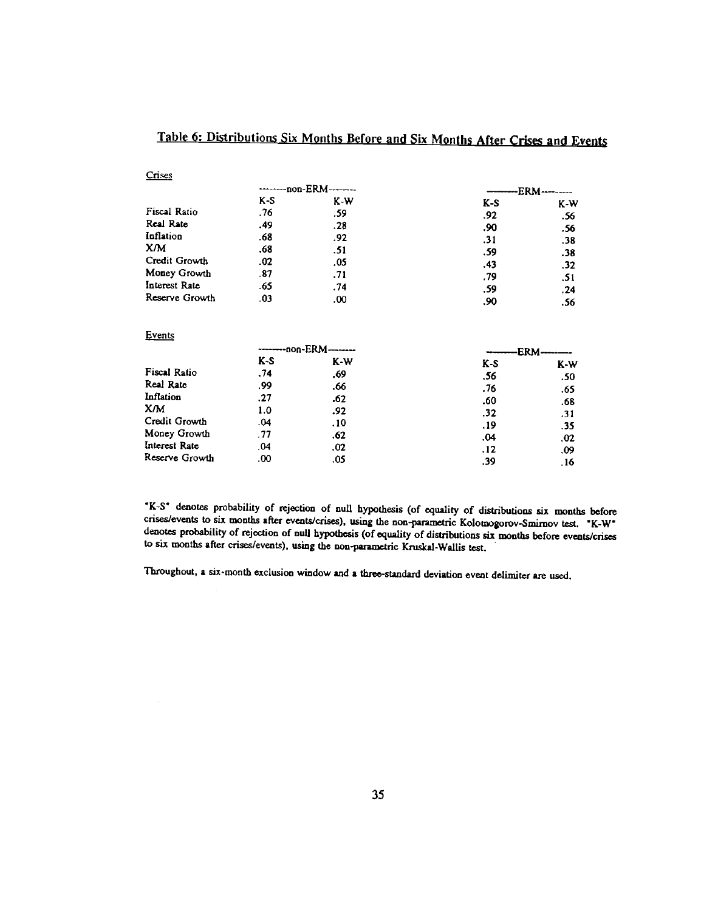|                     | --------non-ERM------- |                          | ERM- |       |  |
|---------------------|------------------------|--------------------------|------|-------|--|
|                     | K-S                    | K-W                      | K-S  | $K-W$ |  |
| <b>Fiscal Ratio</b> | .76                    | .59                      | .92  | .56   |  |
| Real Rate           | .49                    | .28                      | .90  | .56   |  |
| Inflation           | .68                    | .92                      | .31  | .38   |  |
| X/M                 | .68                    | .51                      | .59  | .38   |  |
| Credit Growth       | .02                    | .05                      | .43  | .32   |  |
| Money Growth        | .87                    | .71                      | .79  | .51   |  |
| Interest Rate       | .65                    | .74                      | .59  | .24   |  |
| Reserve Growth      | $_{03}$                | .00                      | .90  | .56   |  |
| Events              |                        |                          |      |       |  |
|                     |                        | -------- non-ERM-------- | ERM. |       |  |
|                     | K-S                    | K-W                      | K-S  | K-W   |  |
| Fiscal Ratio        | .74                    | .69                      | .56  | .50   |  |
| Real Rate           | .99                    | .66                      | .76  | .65   |  |
| Inflation           | .27                    | .62                      | .60  | .68   |  |
| X/M                 | 1.0                    | .92                      | .32  | .31   |  |
| Credit Growth       | .04                    | .10                      | . 19 | -35   |  |
| Money Growth        | .77                    | .62                      | .04  | .02   |  |
| Interest Rate       | .04                    | .02                      | .12  | .09   |  |
| Reserve Growth      | .00                    | .05                      | .39  | .16   |  |

# Table 6: Distributions Six Months Before and Six Months After Crises and Events

Crises

AK-S denotes probability of rejection of null hypothesis (of equality of distributions six months before crises/events to six months after events/crises), using the non-parametric Kolomogorov-Smimov test. "K-W" denotes probability of rejection of null hypothesis (of equality of distributions six months before events/crises to six months after crises/events), using the non-parametric Kruskal-Wallis test.

Throughout, a six-month exclusion window and a three-standard deviation event delimiter are used.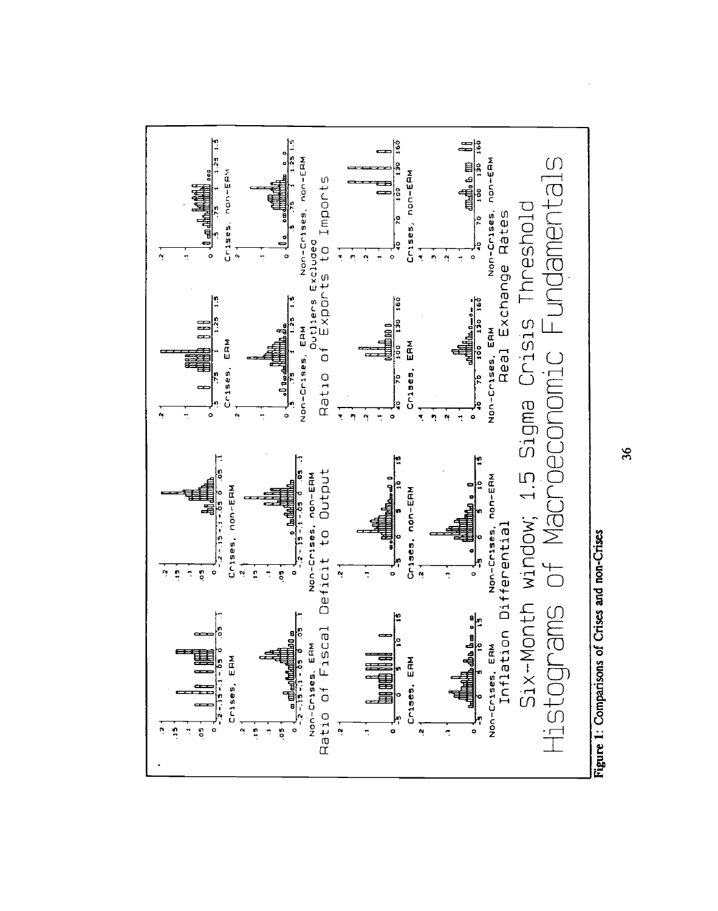

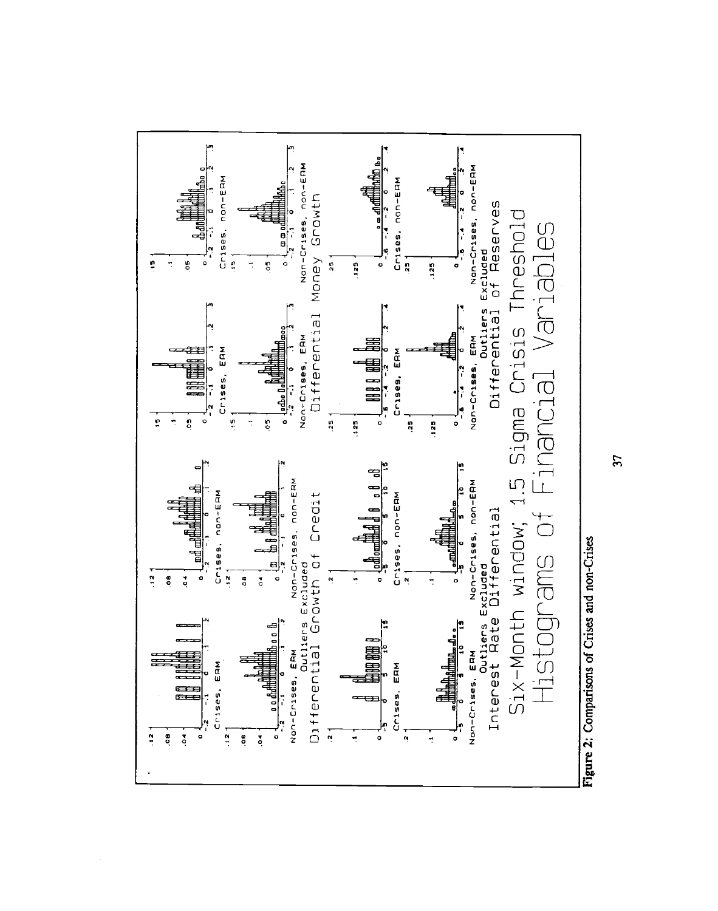

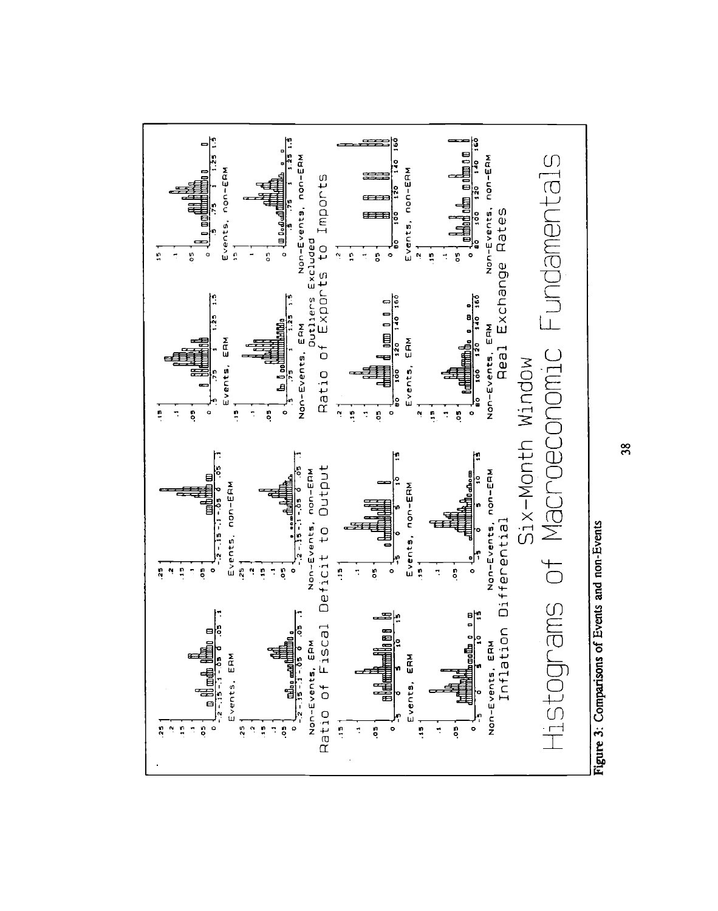

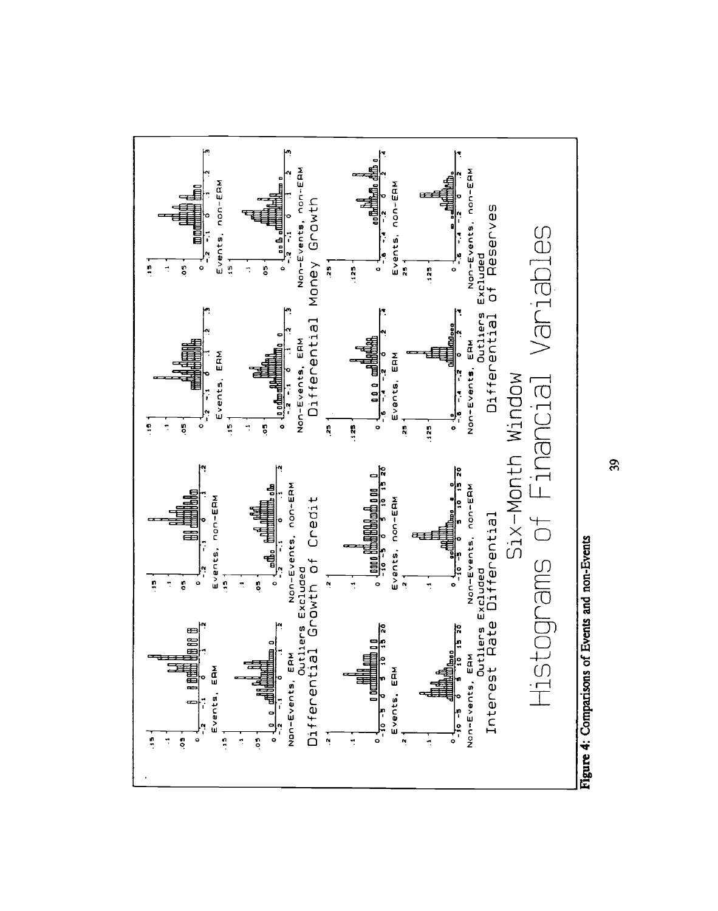

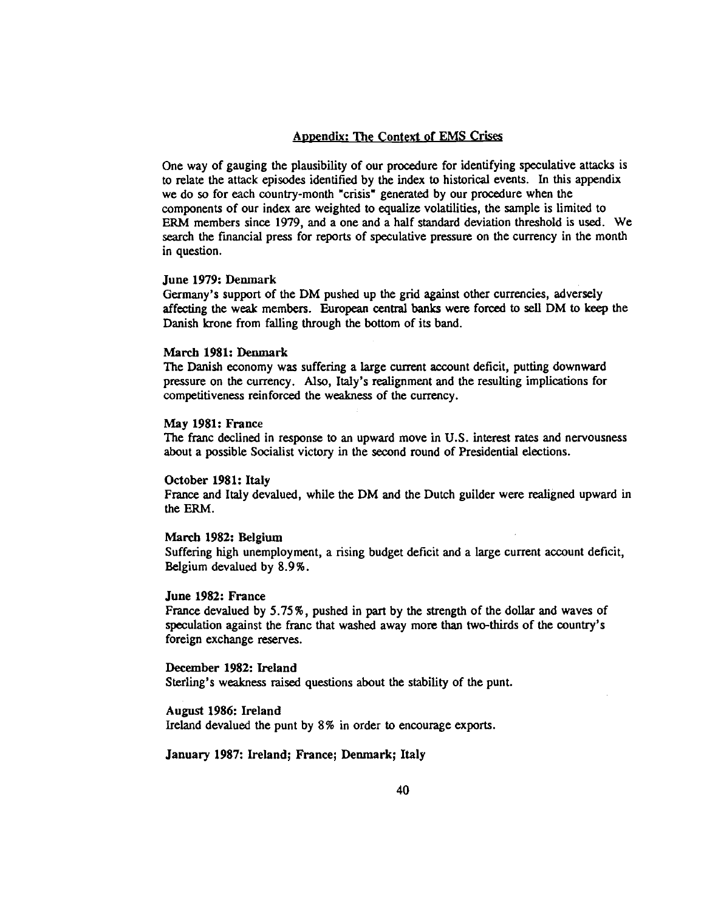#### Appendix: The Context of EMS Crises

One way of gauging the plausibility of our procedure for identifying speculative attacks is to relate the attack episodes identified by the index to historical events. In this appendix we do so for each country-month "crisis" generated by our procedure when the components of our index are weighted to equalize volatilities, the sample is limited to ERM members since 1979, and a one and a half standard deviation threshold is used. We search the financial press for reports of speculative pressure on the currency in the month in question.

#### June 1979: Denmark

Germany's support of the DM pushed up the grid against other currencies, adversely affecting the weak members. European central banks were forced to sell DM to keep the Danish krone from falling through the bottom of its band.

#### March 1981: Denmark

The Danish economy was suffering a large current account deficit, putting downward pressure on the currency. Also, Italy's realignment and the resulting implications for competitiveness reinforced the weakness of the currency.

## May 1981: France

The franc declined in response to an upward move in U.S. interest rates and nervousness about a possible Socialist victory in the second round of Presidential elections.

#### October 1981: Italy

France and Italy devalued, while the DM and the Dutch guilder were realigned upward in the ERM.

#### March 1982: Belgium

Suffering high unemployment, a rising budget deficit and a large current account deficit, Belgium devalued by 8.9%.

#### June 1982: France

France devalued by 5.75%, pushed in part by the strength of the dollar and waves of speculation against the franc that washed away more than two-thirds of the country's foreign exchange reserves.

## December 1982: Ireland

Sterling's weakness raised questions about the stability of the punt.

August 1986: Ireland ireland devalued the punt by 8% in order to encourage exports.

## January 1987: Ireland; France; Denmark; Italy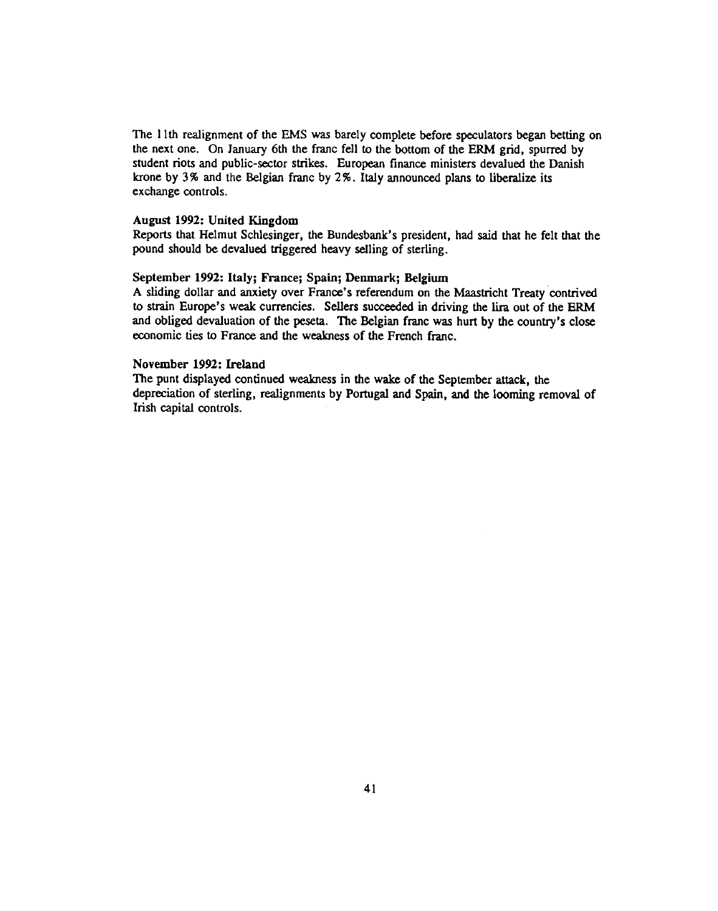The 1 ith realignment of the EMS was barely complete before speculators began betting on the next one. On January 6th the franc fell to the bottom of the ERM grid, spurred by student riots and public-sector strikes. European finance ministers devalued the Danish krone by 3% and the Belgian franc by  $2\%$ . Italy announced plans to liberalize its exchange controls.

#### August 1992: United Kingdom

Reports that Helmut Schlesinger, the Bundesbank's president, had said that he felt that the pound should be devalued triggered heavy selling of sterling.

#### September 1992: Italy; France; Spain; Denmark; Belgium

A sliding dollar and anxiety over France's referendum on the Maastricht Treaty contrived to strain Europe's weak currencies. Sellers succeeded in driving the lira out of the ERM and obliged devaluation of the peseta. The Belgian franc was hurt by the country's close economic ties to France and the weakness of the French franc.

#### November 1992: Ireland

The punt displayed continued weakness in the wake of the September attack, the depreciation of sterling, realignments by Portugal and Spain, and the looming removal of Irish capital controls.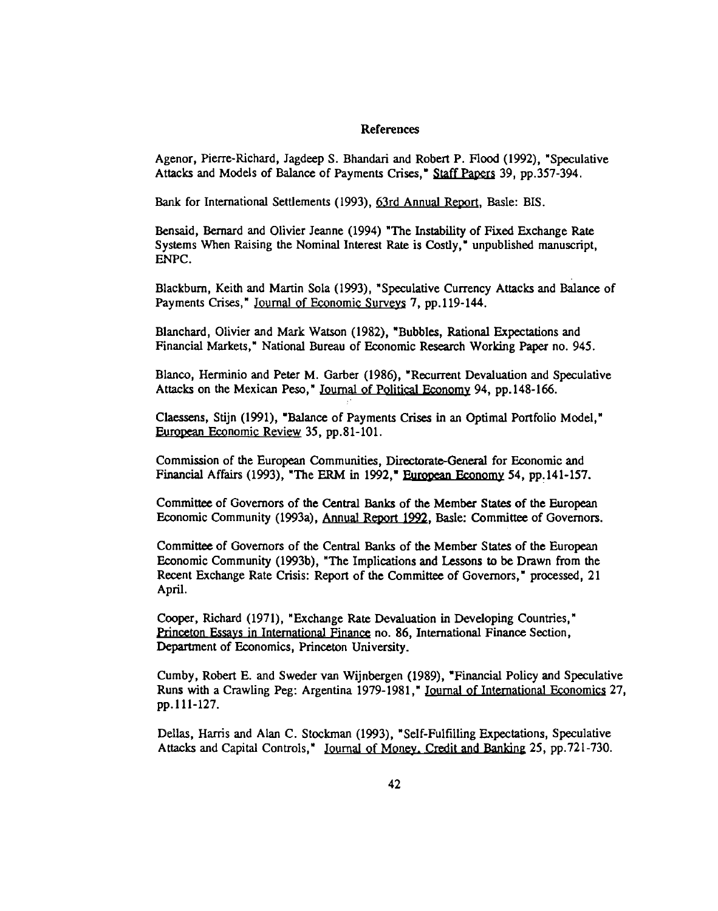#### References

Agenor, Pierre-Richard, Jagdeep S. Bhandari and Robert P. Flood (1992), "Speculative Attacks and Models of Balance of Payments Crises," Staff Papers 39, pp.357-394.

Bank for International Settlements (1993), 63rd Annual Report, Basle: BIS.

Bensaid, Bernard and Olivier Jeanne (1994) "The Instability of Fixed Exchange Rate Systems When Raising the Nominal Interest Rate is Costly," unpublished manuscript, ENPC.

Blackburn, Keith and Martin Sola (1993), "Speculative Currency Attacks and Balance of Payments Crises," Journal of Economic Surveys 7, pp.119-144.

Blanchard, Olivier and Mark Watson (1982), "Bubbles, Rational Expectations and Financial Markets," National Bureau of Economic Research Working Paper no. 945.

Blanco, Herminio and Peter M. Garber (1986), "Recurrent Devaluation and Speculative Attacks on the Mexican Peso," Journal of Political Economy 94, pp.148-166.

Claessens, Stijn (1991), "Balance of Payments Crises in an Optimal Portfolio Model," European Economic Review 35, pp.81-101.

Commission of the European Communities, Directorate-General for Economic and Financial Affairs (1993), "The ERM in 1992," European Economy 54, pp.141-157.

Committee of Governors of the Central Banks of the Member States of the European Economic Community (1993a), Annual Report 1992, Basle: Committee of Governors.

Committee of Governors of the Central Banks of the Member States of the European Economic Community (1993b), "The Implications and Lessons to be Drawn from the Recent Exchange Rate Crisis: Report of the Committee of Governors," processed, 21 April.

Cooper, Richard (1971), "Exchange Rate Devaluation in Developing Countries," Princeton Essays in International Finance no. 86, International Finance Section, Department of Economics, Princeton University.

Cumby, Robert E. and Sweder van Wijnbergen (1989), "Financial Policy and Speculative Runs with a Crawling Peg: Argentina 1979-1981," Journal of International Economics 27, pp.111-127.

Deilas, Harris and Alan C. Stockman (1993), "Self-Fulfilling Expectations, Speculative Attacks and Capital Controls," Journal of Money. Credit and Banking 25, pp.721-730.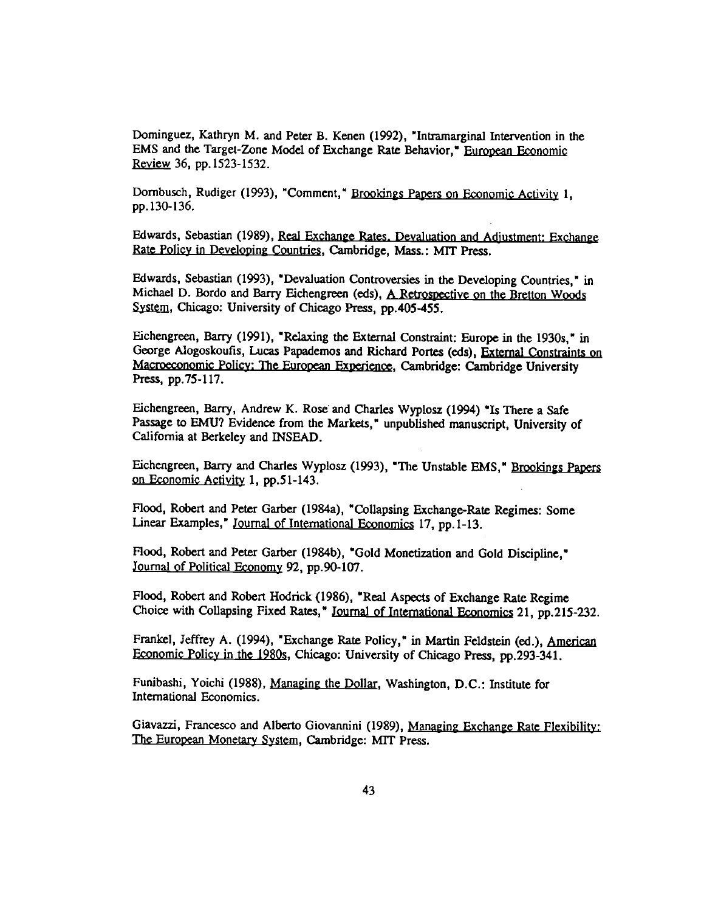Dominguez, Kathryn M. and Peter B. Kenen (1992), "Intramarginal Intervention in the EMS and the Target-Zone Model of Exchange Rate Behavior," European Economic Review 36, pp. 1523-1532.

Dornbusch, Rudiger (1993), "Comment," Brookings Papers on Economic Activity 1, pp. 130-136.

Edwards, Sebastian (1989), Real Exchange Rates. Devaluation and Adjustment: Exchange Rate Policy in Developing Countries, Cambridge, Mass.: MIT Press.

Edwards, Sebastian (1993), "Devaluation Controversies in the Developing Countries," in Michael D. Bordo and Barry Eichengreen (eds), A Retrospective on the Bretton Woods System, Chicago: University of Chicago Press, pp.40S-455.

Eichengreen, Barry (1991), "Reiaxing the External Constraint: Europe in the 1930s," in George Alogoskoufis, Lucas Papademos and Richard Portes (eds), External Constraints on Macroeconomic Policy: The European Experience, Cambridge: Cambridge University Press, pp.75-117.

Eichengreen, Barry, Andrew K. Rose and Charles Wyplosz (1994)"Is There a Safe Passage to EMU? Evidence from the Markets," unpublished manuscript, University of California at Berkeley and INSEAD.

Eichengreen, Barry and Charles Wyplosz (1993), "The Unstable EMS," Brookings Papers on Economic Activity 1, pp.51-143.

Flood, Robert and Peter Garber (1984a), "Collapsing Exchange-Rate Regimes: Some Linear Examples," Journal of International Economics 17, pp.1-13.

Flood, Robert and Peter Garber (1984b), "Gold Monetization and Gold Discipline," Journal of Political Economy 92, pp.90-107.

Flood, Robert and Robert Hodrick (1986), "Real Aspects of Exchange Rate Regime Choice with Collapsing Fixed Rates," Journal of International Economics 21, pp.215-232.

Frankel, Jeffrey A. (1994), "Exchange Rate Policy," in Martin Feldstein (ed.), American Economic Policy in the 1980s, Chicago: University of Chicago Press, pp.293-341.

Funibashi, Yoichi (1988), Managing the Dollar, Washington, D.C.: Institute for International Economics.

Giavazzi, Francesco and Alberto Giovannini (1989), Managing Exchange Rate Flexibility: The European Monetary System, Cambridge: MIT Press.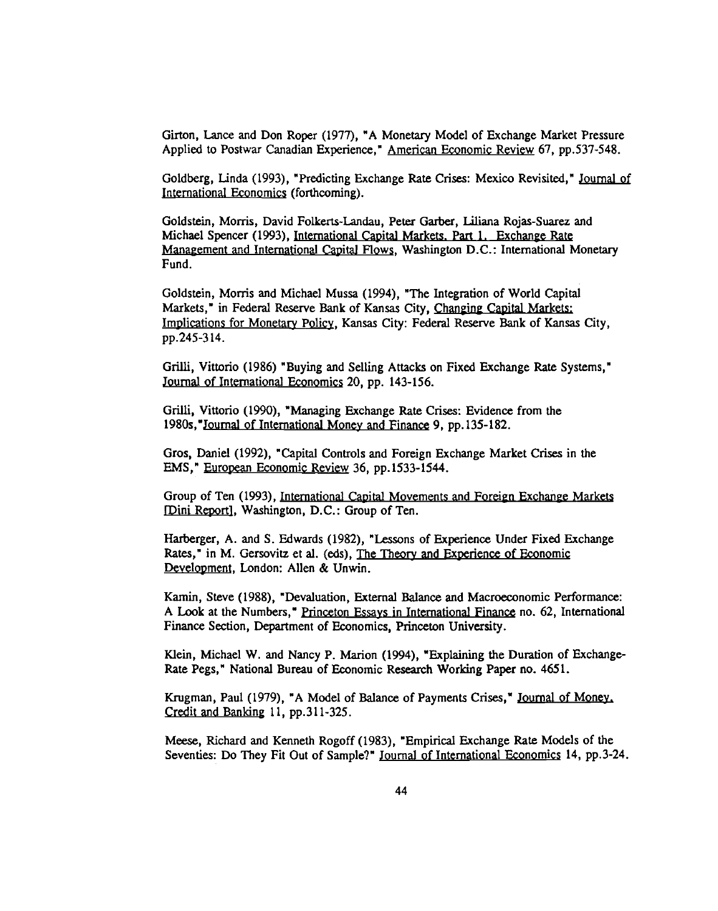Girton, Lance and Don Roper (1977), "A Monetary Model of Exchange Market Pressure Applied to Postwar Canadian Experience," American Economic Review 67, pp.537-548.

Goldberg, Linda (1993), "Predicting Exchange Rate Crises: Mexico Revisited," Journal of International Economics (forthcoming).

Goldstein, Moms, David Folkerts-Landau, Peter Garber, Liliana Rojas-Suarez and Michael Spencer (1993), International Capital Markets. Part 1. Exchange Rate Management and International Capital Flows, Washington D.C.: International Monetary Fund.

Goldstein, Morris and Michael Mussa (1994), "The Integration of World Capital Markets," in Federal Reserve Bank of Kansas City, Changing Capital Markets: Implications for Monetary Policy, Kansas City: Federal Reserve Bank of Kansas City, pp.245-314.

Grilli, Vittorio (1986) "Buying and Selling Attacks on Fixed Exchange Rate Systems," Journal of International Economics 20, pp. 143-156.

Grilli, Vittorio (1990), "Managing Exchange Rate Crises: Evidence from the 1980s,"Journal of International Money and Finance 9, pp.135-182.

Gros, Daniel (1992), "Capital Controls and Foreign Exchange Market Crises in the EMS," European Economic Review 36, pp.1533-1544.

Group of Ten (1993), International Capital Movements and Foreign Exchange Markets [Dini Report], Washington, D.C.: Group of Ten.

Harberger, A. and S. Edwards (1982), "Lessons of Experience Under Fixed Exchange Rates," in M. Gersovitz et al. (eds), The Theory and Experience of Economic Development, London: Allen & Unwin.

Karnin, Steve (1988), "Devaluation, External Balance and Macroeconomic Performance: A Look at the Numbers," Princeton Essays in International Finance no. 62, International Finance Section, Department of Economics, Princeton University.

Klein, Michael W. and Nancy P. Marion (1994), "Explaining the Duration of Exchange-Rate Pegs," National Bureau of Economic Research Working Paper no. 4651.

Krugman, Paul (1979), "A Model of Balance of Payments Crises," Journal of Money. Credit and Banking 11, pp.311-325.

Meese, Richard and Kenneth Rogoff (1983), "Empirical Exchange Rate Models of the Seventies: Do They Fit Out of Sample?" Journal of International Economics 14, pp.3-24.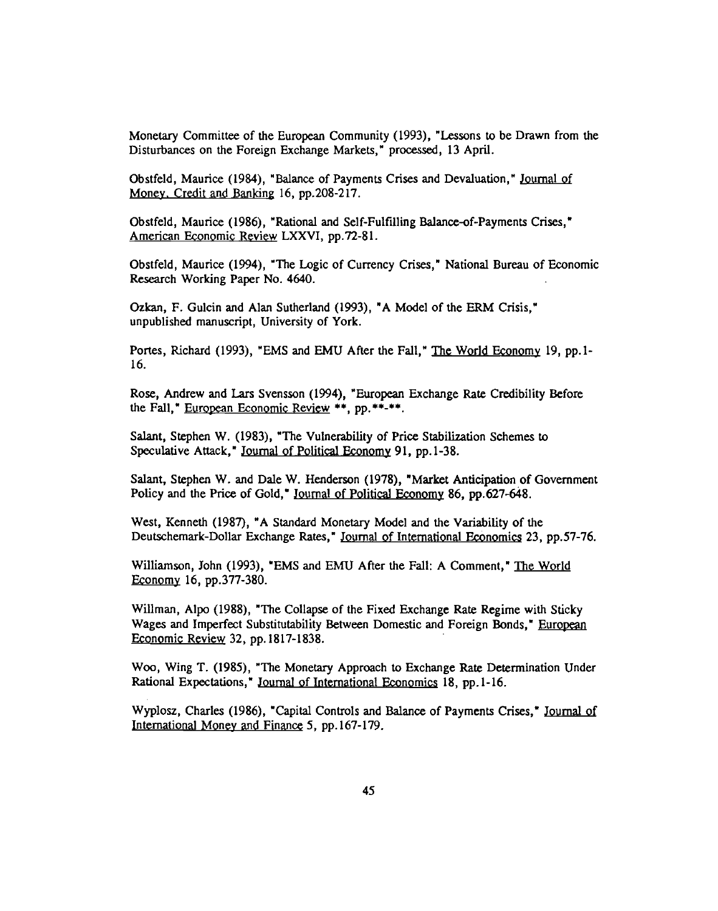Monetary Committee of the European Community (1993), "Lessons to be Drawn from the Disturbances on the Foreign Exchange Markets," processed, 13 April.

Obstfeld, Maurice (1984), "Balance of Payments Crises and Devaluation," Journal of Money. Credit and Banking 16, pp.208-217.

Obstfeld, Maurice (1986), "Rational and Self-Fulfilling Balance-of-Payments Crises," American Economic Review LXXVI, pp.72-81.

Obstfeld, Maurice (1994), "The Logic of Currency Crises," National Bureau of Economic Research Working Paper No. 4640.

Ozkan, F. Gulcin and Alan Sutherland (1993), "A Model of the ERM Crisis," unpublished manuscript, University of York.

Portes, Richard (1993), "EMS and EMU After the Fall," The World Economy 19, pp.1-16.

Rose, Andrew and Lars Svensson (1994), "European Exchange Rate Credibility Before the Fall," European Economic Review \*\*, pp.\*\*-\*\*.

Salant, Stephen W. (1983), "The Vulnerability of Price Stabilization Schemes to Speculative Attack," Journal of Political Economy 91, pp.1-38.

Salant, Stephen W. and Dale W. Henderson (1978), "Market Anticipation of Government Policy and the Price of Gold," Journal of Political Economy 86, pp.627-648.

West, Kenneth (1987), "A Standard Monetary Model and the Variability of the Deutschemark-Dollar Exchange Rates," Journal of International Economics 23, pp.57-76.

Williamson, John (1993), "EMS and EMU After the Fall: A Comment," The World Economy 16, pp.377-380.

Wiliman, Alpo (1988), "The Collapse of the Fixed Exchange Rate Regime with Sticky Wages and Imperfect Substitutability Between Domestic and Foreign Bonds," European Economic Review 32, pp. 1817-1838.

Woo, Wing T. (1985), "The Monetary Approach to Exchange Rate Determination Under Rational Expectations," Journal of International Economics 18, pp.1-16.

Wyplosz, Charles (1986), "Capital Controls and Balance of Payments Crises," Journal of International Money and Finance 5, pp.167-179.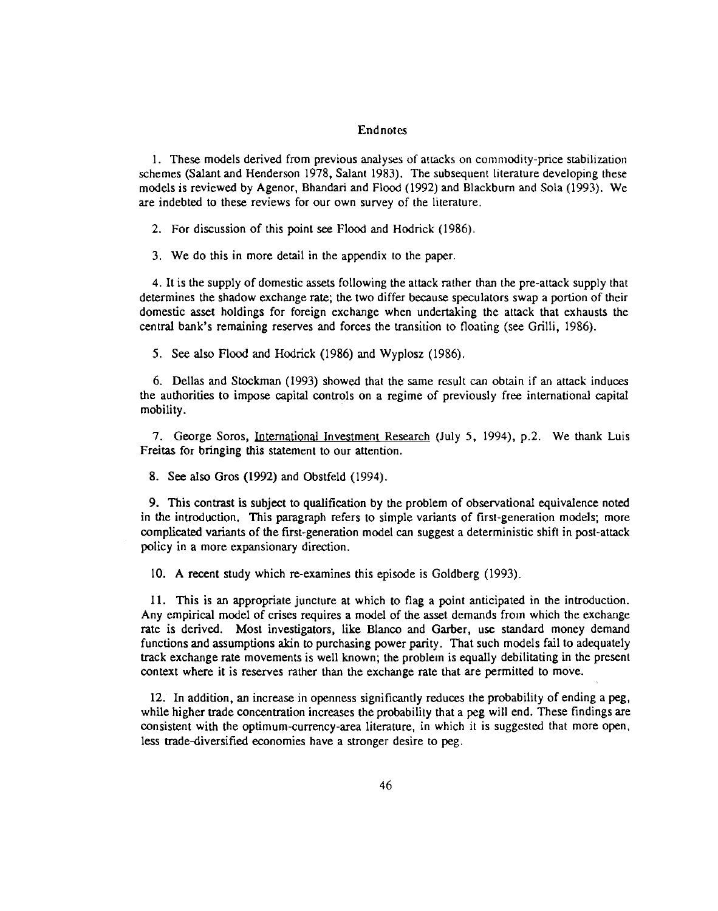#### Endnotes

1. These models derived from previous analyses of attacks on commodity-price stabilization schemes (Salant and Henderson 1978, Salant 1983). The subsequent literature developing these models is reviewed by Agenor, Bhandari and Flood (1992) and Blackburn and Sola (1993). We are indebted to these reviews for our own survey of the literature.

2. For discussion of this point see Flood and Hodrick (1986).

3. We do this in more detail in the appendix to the paper.

4. It is the supply of domestic assets following the attack rather than the pre-attack supply that determines the shadow exchange rate; the two differ because speculators swap a portion of their domestic asset holdings for foreign exchange when undertaking the attack that exhausts the central bank's remaining reserves and forces the transition to floating (see Grilli, 1986).

5. See also Flood and Hodrick (1986) and Wyplosz (1986).

6. Dellas and Stockman (1993) showed that the same result can obtain if an attack induces the authorities to impose capital controls on a regime of previously free international capital mobility.

7. George Soros, International Investment Research (July 5, 1994), p.2. We thank Luis Freitas for bringing this statement to our attention.

8. See also Gros (1992) and Obstfeld (1994).

9. This contrast is subject to qualification by the problem of observational equivalence noted in the introduction. This paragraph refers to simple variants of first-generation models; more complicated variants of the first-generation model can suggest a deterministic shift in post-attack policy in a more expansionary direction.

10. A recent study which re-examines this episode is Goldberg (1993).

11. This is an appropriate juncture at which to flag a point anticipated in the introduction. Any empirical model of crises requires a model of the asset demands from which the exchange rate is derived. Most investigators, like Blanco and Garber, use standard money demand functions and assumptions akin to purchasing power parity. That such models fail to adequately track exchange rate movements is well known; the problem is equally debilitating in the present context where it is reserves rather than the exchange rate that are permitted to move.

12. In addition, an increase in openness significantly reduces the probability of ending a peg, while higher trade concentration increases the probability that a peg will end. These findings are consistent with the optimum-currency-area literature, in which it is suggested that more open, less trade-diversified economies have a stronger desire to peg.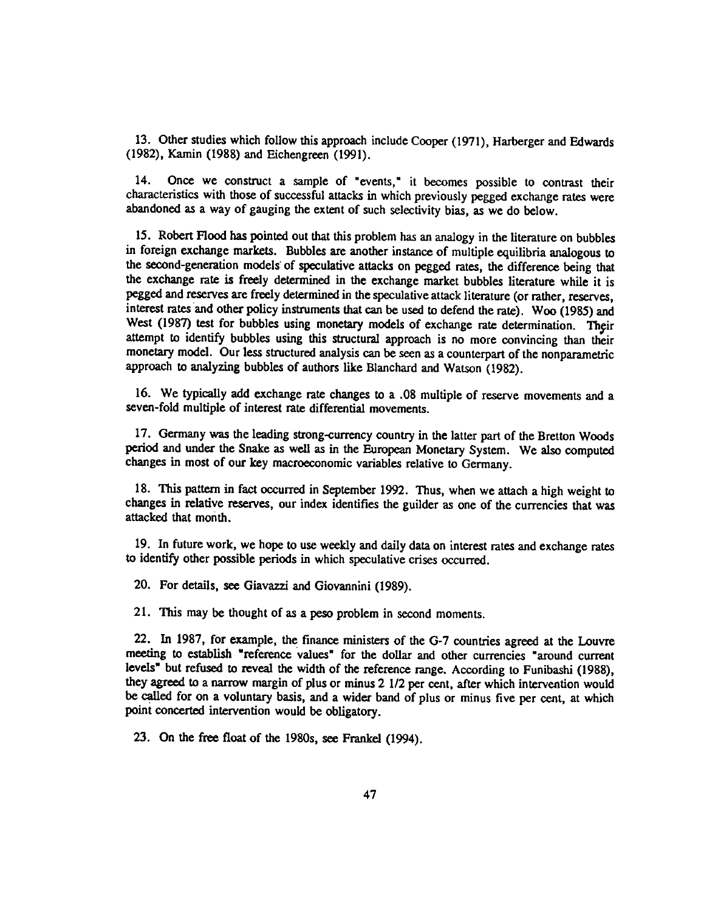13. Other studies which follow this approach include Cooper (1971), Harberger and Edwards (1982), Kamin (1988) and Eichengreen (1991).

14. Once we construct a sample of "events," it becomes possible to contrast their characteristics with those of successful attacks in which previously pegged exchange rates were abandoned as a way of gauging the extent of such selectivity bias, as we do below.

15. Robert Flood has pointed out that this problem has an analogy in the literature on bubbles in foreign exchange markets. Bubbles are another instance of multiple equilibria analogous to the second-generation models' of speculative attacks on pegged rates, the difference being that the exchange rate is freely determined in the exchange market bubbles literature while it is pegged and reserves are freely determined in the speculative attack literature (or rather, reserves, interest rates'and other policy instruments that can be used to defend the rate). Woo (1985) and West (1987) test for bubbles using monetary models of exchange rate determination. Their attempt to identify bubbles using this structural approach is no more convincing than their monetary model. Our less structured analysis can be seen as a counterpart of the nonparametric approach to analyzing bubbles of authors like Blanchard and Watson (1982).

16. We typically add exchange rate changes to a .08 multiple of reserve movements and a seven-fold multiple of interest rate differential movements.

17. Germany was the leading strong-currency country in the latter part of the Bretton Woods period and under the Snake as well as in the European Monetary System. We also computed changes in most of our key macroeconomic variables relative to Germany.

18. This pattern in fact occurred in September 1992. Thus, when we attach a high weight to changes in relative reserves, our index identifies the guilder as one of the currencies that was attacked that month.

19. In future work, we hope to use weekly and daily data on interest rates and exchange rates to identify other possible periods in which speculative crises occurred.

20. For details, see Giavazzi and Giovannini (1989).

21. This may be thought of as a peso problem in second moments.

22. In 1987, for example, the finance ministers of the G-7 countries agreed at the Louvre meeting to establish "reference values" for the dollar and other currencies "around current levels" but refused to reveal the width of the reference range. According to Funibashi (1988), they agreed to a narrow margin of plus or minus 2 1/2 per cent, after which intervention would be called for on a voluntary basis, and a wider band of plus or minus five per cent, at which point concerted intervention would be obligatory.

23. On the free float of the 1980s, see Frankel (1994).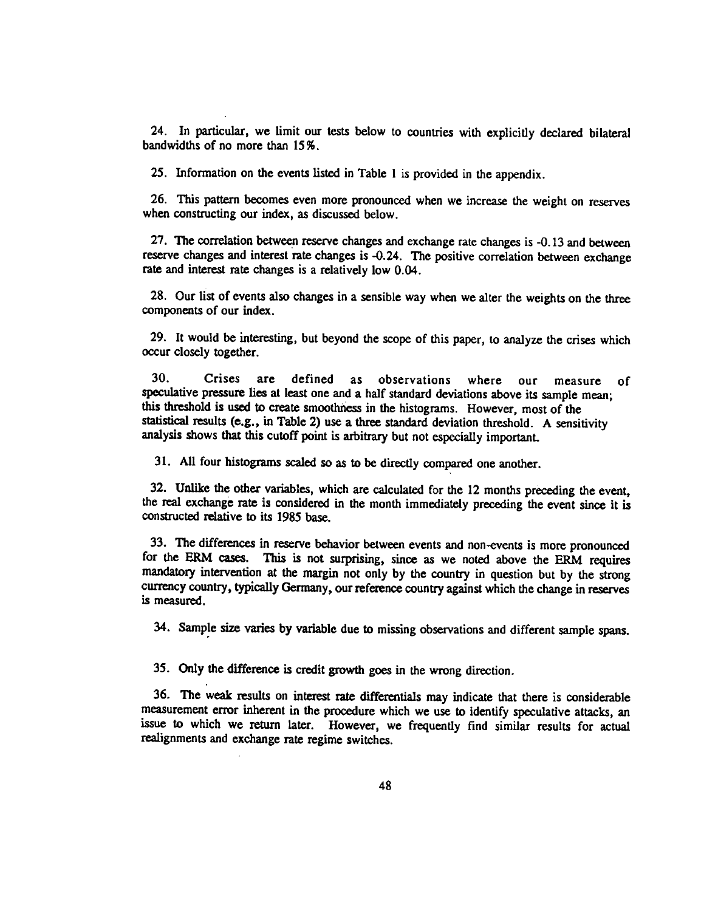24. In particular, we limit our tests below to countries with explicitly declared bilateral bandwidths of no more than 15%.

25. Information on the events listed in Table 1 is provided in the appendix.

26. This pattern becomes even more pronounced when we increase the weight on reserves when constructing our index, as discussed below.

27. The correlation between reserve changes and exchange rate changes is -0.13 and between reserve changes and interest rate changes is -0.24. The positive correlation between exchange rate and interest rate changes is a relatively low 0.04.

28. Our list of events also changes in a sensible way when we alter the weights on the three components of our index.

29. It would be interesting, but beyond the scope of this paper, to analyze the crises which occur closely together.

30. Crises are defined as observations where our measure of speculative pressure lies at least one and a half standard deviations above its sample mean; this threshold is used to create smoothness in the histograms. However, most of the statistical results (e.g., in Table 2) use a three standard deviation threshold. A sensitivity analysis shows that this cutoff point is arbitrary but not especially important.

31. All four histograms scaled so as to be directly compared one another.

32. Unlike the other variables, which are calculated for the 12 months preceding the event, the real exchange rate is considered in the month immediately preceding the event since it is constructed relative to its 1985 base.

33. The differences in reserve behavior between events and non-events is more pronounced for the ERM cases. This is not surprising, since as we noted above the ERM requires mandatory intervention at the margin not only by the country in question but by the strong currency country, typically Germany, our reference country against which the change in reserves is measured.

34. Sample size varies by variable due to missing observations and different sample spans.

35. Only the difference is credit growth goes in the wrong direction.

36. The weak results on interest rate differentials may indicate that there is considerable measurement error inherent in the procedure which we use to identify speculative attacks, an issue to which we return later. However, we frequently find similar results for actual realignments and exchange rate regime switches.